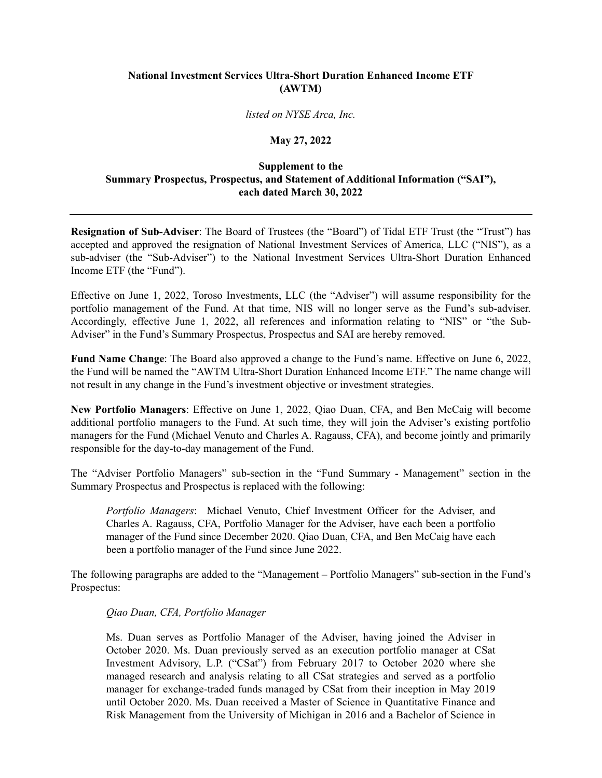## **National Investment Services Ultra-Short Duration Enhanced Income ETF (AWTM)**

*listed on NYSE Arca, Inc.* 

## **May 27, 2022**

## **Supplement to the Summary Prospectus, Prospectus, and Statement of Additional Information ("SAI"), each dated March 30, 2022**

**Resignation of Sub-Adviser**: The Board of Trustees (the "Board") of Tidal ETF Trust (the "Trust") has accepted and approved the resignation of National Investment Services of America, LLC ("NIS"), as a sub-adviser (the "Sub-Adviser") to the National Investment Services Ultra-Short Duration Enhanced Income ETF (the "Fund").

Effective on June 1, 2022, Toroso Investments, LLC (the "Adviser") will assume responsibility for the portfolio management of the Fund. At that time, NIS will no longer serve as the Fund's sub-adviser. Accordingly, effective June 1, 2022, all references and information relating to "NIS" or "the Sub-Adviser" in the Fund's Summary Prospectus, Prospectus and SAI are hereby removed.

**Fund Name Change**: The Board also approved a change to the Fund's name. Effective on June 6, 2022, the Fund will be named the "AWTM Ultra-Short Duration Enhanced Income ETF." The name change will not result in any change in the Fund's investment objective or investment strategies.

**New Portfolio Managers**: Effective on June 1, 2022, Qiao Duan, CFA, and Ben McCaig will become additional portfolio managers to the Fund. At such time, they will join the Adviser's existing portfolio managers for the Fund (Michael Venuto and Charles A. Ragauss, CFA), and become jointly and primarily responsible for the day-to-day management of the Fund.

The "Adviser Portfolio Managers" sub-section in the "Fund Summary **-** Management" section in the Summary Prospectus and Prospectus is replaced with the following:

*Portfolio Managers*: Michael Venuto, Chief Investment Officer for the Adviser, and Charles A. Ragauss, CFA, Portfolio Manager for the Adviser, have each been a portfolio manager of the Fund since December 2020. Qiao Duan, CFA, and Ben McCaig have each been a portfolio manager of the Fund since June 2022.

The following paragraphs are added to the "Management – Portfolio Managers" sub-section in the Fund's Prospectus:

## *Qiao Duan, CFA, Portfolio Manager*

Ms. Duan serves as Portfolio Manager of the Adviser, having joined the Adviser in October 2020. Ms. Duan previously served as an execution portfolio manager at CSat Investment Advisory, L.P. ("CSat") from February 2017 to October 2020 where she managed research and analysis relating to all CSat strategies and served as a portfolio manager for exchange-traded funds managed by CSat from their inception in May 2019 until October 2020. Ms. Duan received a Master of Science in Quantitative Finance and Risk Management from the University of Michigan in 2016 and a Bachelor of Science in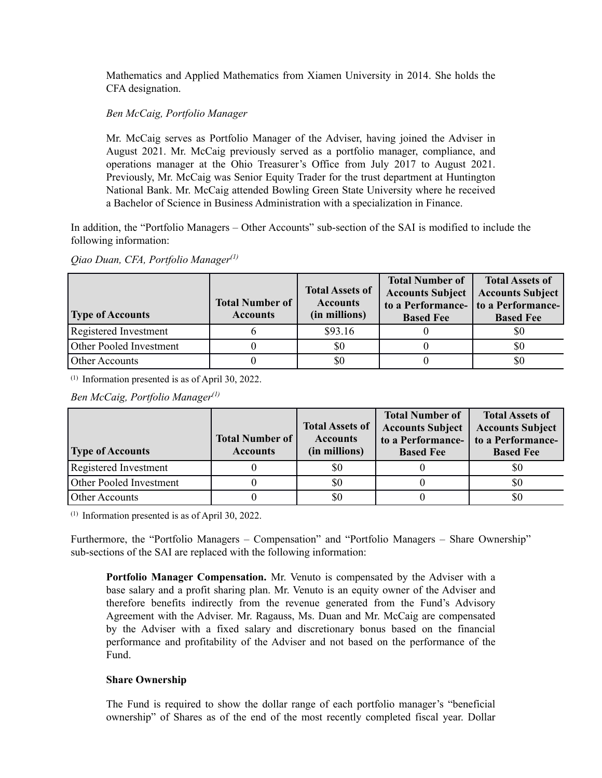Mathematics and Applied Mathematics from Xiamen University in 2014. She holds the CFA designation.

## *Ben McCaig, Portfolio Manager*

Mr. McCaig serves as Portfolio Manager of the Adviser, having joined the Adviser in August 2021. Mr. McCaig previously served as a portfolio manager, compliance, and operations manager at the Ohio Treasurer's Office from July 2017 to August 2021. Previously, Mr. McCaig was Senior Equity Trader for the trust department at Huntington National Bank. Mr. McCaig attended Bowling Green State University where he received a Bachelor of Science in Business Administration with a specialization in Finance.

In addition, the "Portfolio Managers – Other Accounts" sub-section of the SAI is modified to include the following information:

*Qiao Duan, CFA, Portfolio Manager(1)*

| <b>Type of Accounts</b> | <b>Total Number of</b><br><b>Accounts</b> | <b>Total Assets of</b><br><b>Accounts</b><br>(in millions) | <b>Total Number of</b><br><b>Accounts Subject</b><br><b>Based Fee</b> | <b>Total Assets of</b><br><b>Accounts Subject</b><br>to a Performance- to a Performance-<br><b>Based Fee</b> |
|-------------------------|-------------------------------------------|------------------------------------------------------------|-----------------------------------------------------------------------|--------------------------------------------------------------------------------------------------------------|
| Registered Investment   |                                           | \$93.16                                                    |                                                                       | \$0                                                                                                          |
| Other Pooled Investment |                                           | \$0                                                        |                                                                       | \$0                                                                                                          |
| Other Accounts          |                                           | \$0                                                        |                                                                       | \$0                                                                                                          |

(1) Information presented is as of April 30, 2022.

*Ben McCaig, Portfolio Manager(1)*

|                                | <b>Total Number of</b> | <b>Total Assets of</b><br><b>Accounts</b> | <b>Total Number of</b><br><b>Accounts Subject</b><br>to a Performance- | <b>Total Assets of</b><br><b>Accounts Subject</b><br>to a Performance- |
|--------------------------------|------------------------|-------------------------------------------|------------------------------------------------------------------------|------------------------------------------------------------------------|
| <b>Type of Accounts</b>        | <b>Accounts</b>        | (in millions)                             | <b>Based Fee</b>                                                       | <b>Based Fee</b>                                                       |
| Registered Investment          |                        | \$0                                       |                                                                        | \$0                                                                    |
| <b>Other Pooled Investment</b> |                        | \$0                                       |                                                                        | \$0                                                                    |
| Other Accounts                 |                        | \$0                                       |                                                                        | \$0                                                                    |

(1) Information presented is as of April 30, 2022.

Furthermore, the "Portfolio Managers – Compensation" and "Portfolio Managers – Share Ownership" sub-sections of the SAI are replaced with the following information:

**Portfolio Manager Compensation.** Mr. Venuto is compensated by the Adviser with a base salary and a profit sharing plan. Mr. Venuto is an equity owner of the Adviser and therefore benefits indirectly from the revenue generated from the Fund's Advisory Agreement with the Adviser. Mr. Ragauss, Ms. Duan and Mr. McCaig are compensated by the Adviser with a fixed salary and discretionary bonus based on the financial performance and profitability of the Adviser and not based on the performance of the Fund.

## **Share Ownership**

The Fund is required to show the dollar range of each portfolio manager's "beneficial ownership" of Shares as of the end of the most recently completed fiscal year. Dollar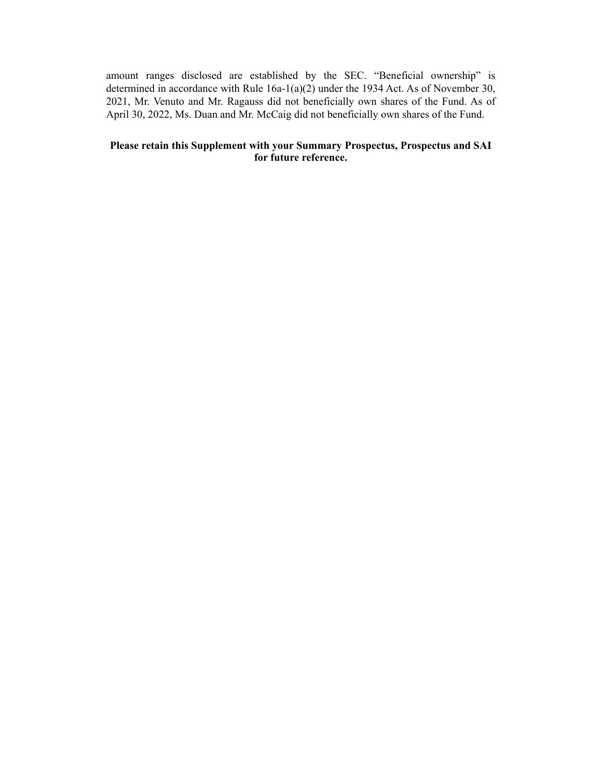amount ranges disclosed are established by the SEC. "Beneficial ownership" is determined in accordance with Rule 16a-1(a)(2) under the 1934 Act. As of November 30, 2021, Mr. Venuto and Mr. Ragauss did not beneficially own shares of the Fund. As of April 30, 2022, Ms. Duan and Mr. McCaig did not beneficially own shares of the Fund.

## **Please retain this Supplement with your Summary Prospectus, Prospectus and SAI for future reference.**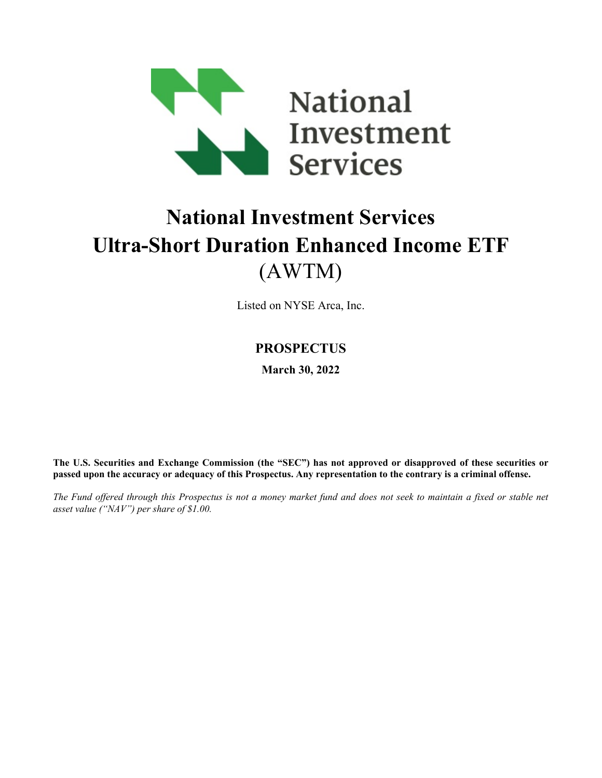

# **National Investment Services Ultra-Short Duration Enhanced Income ETF** (AWTM)

Listed on NYSE Arca, Inc.

# **PROSPECTUS**

**March 30, 2022**

**The U.S. Securities and Exchange Commission (the "SEC") has not approved or disapproved of these securities or passed upon the accuracy or adequacy of this Prospectus. Any representation to the contrary is a criminal offense.**

*The Fund offered through this Prospectus is not a money market fund and does not seek to maintain a fixed or stable net asset value ("NAV") per share of \$1.00.*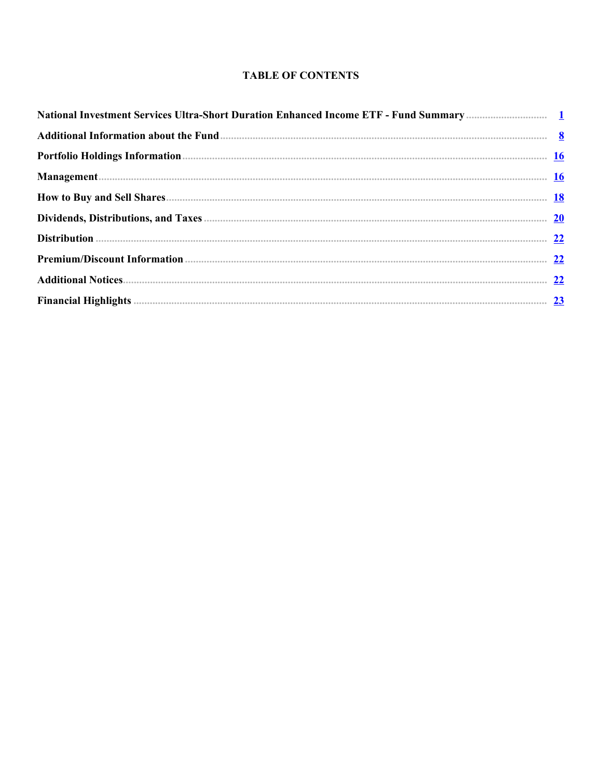# **TABLE OF CONTENTS**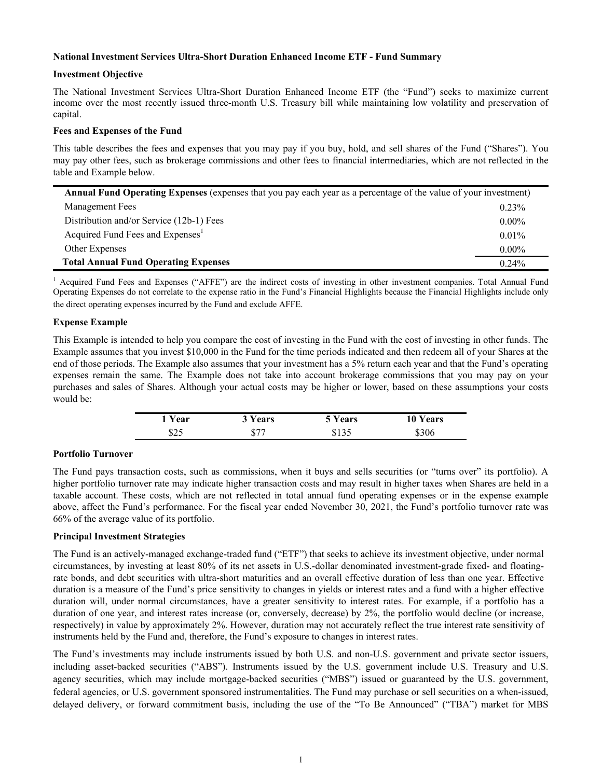#### <span id="page-5-0"></span>**National Investment Services Ultra-Short Duration Enhanced Income ETF - Fund Summary**

#### **Investment Objective**

The National Investment Services Ultra-Short Duration Enhanced Income ETF (the "Fund") seeks to maximize current income over the most recently issued three-month U.S. Treasury bill while maintaining low volatility and preservation of capital.

#### **Fees and Expenses of the Fund**

This table describes the fees and expenses that you may pay if you buy, hold, and sell shares of the Fund ("Shares"). You may pay other fees, such as brokerage commissions and other fees to financial intermediaries, which are not reflected in the table and Example below.

| <b>Annual Fund Operating Expenses</b> (expenses that you pay each year as a percentage of the value of your investment) |          |  |  |
|-------------------------------------------------------------------------------------------------------------------------|----------|--|--|
| Management Fees                                                                                                         | $0.23\%$ |  |  |
| Distribution and/or Service (12b-1) Fees                                                                                | $0.00\%$ |  |  |
| Acquired Fund Fees and Expenses <sup>1</sup>                                                                            | $0.01\%$ |  |  |
| Other Expenses                                                                                                          | $0.00\%$ |  |  |
| <b>Total Annual Fund Operating Expenses</b>                                                                             | $0.24\%$ |  |  |

<sup>1</sup> Acquired Fund Fees and Expenses ("AFFE") are the indirect costs of investing in other investment companies. Total Annual Fund Operating Expenses do not correlate to the expense ratio in the Fund's Financial Highlights because the Financial Highlights include only the direct operating expenses incurred by the Fund and exclude AFFE.

#### **Expense Example**

This Example is intended to help you compare the cost of investing in the Fund with the cost of investing in other funds. The Example assumes that you invest \$10,000 in the Fund for the time periods indicated and then redeem all of your Shares at the end of those periods. The Example also assumes that your investment has a 5% return each year and that the Fund's operating expenses remain the same. The Example does not take into account brokerage commissions that you may pay on your purchases and sales of Shares. Although your actual costs may be higher or lower, based on these assumptions your costs would be:

| 1 Year | 3 Years | 5 Years | Years<br>10 ° |
|--------|---------|---------|---------------|
| \$25   |         | ر د ۱ و | \$306         |

#### **Portfolio Turnover**

The Fund pays transaction costs, such as commissions, when it buys and sells securities (or "turns over" its portfolio). A higher portfolio turnover rate may indicate higher transaction costs and may result in higher taxes when Shares are held in a taxable account. These costs, which are not reflected in total annual fund operating expenses or in the expense example above, affect the Fund's performance. For the fiscal year ended November 30, 2021, the Fund's portfolio turnover rate was 66% of the average value of its portfolio.

#### **Principal Investment Strategies**

The Fund is an actively-managed exchange-traded fund ("ETF") that seeks to achieve its investment objective, under normal circumstances, by investing at least 80% of its net assets in U.S.-dollar denominated investment-grade fixed- and floatingrate bonds, and debt securities with ultra-short maturities and an overall effective duration of less than one year. Effective duration is a measure of the Fund's price sensitivity to changes in yields or interest rates and a fund with a higher effective duration will, under normal circumstances, have a greater sensitivity to interest rates. For example, if a portfolio has a duration of one year, and interest rates increase (or, conversely, decrease) by 2%, the portfolio would decline (or increase, respectively) in value by approximately 2%. However, duration may not accurately reflect the true interest rate sensitivity of instruments held by the Fund and, therefore, the Fund's exposure to changes in interest rates.

The Fund's investments may include instruments issued by both U.S. and non-U.S. government and private sector issuers, including asset-backed securities ("ABS"). Instruments issued by the U.S. government include U.S. Treasury and U.S. agency securities, which may include mortgage-backed securities ("MBS") issued or guaranteed by the U.S. government, federal agencies, or U.S. government sponsored instrumentalities. The Fund may purchase or sell securities on a when-issued, delayed delivery, or forward commitment basis, including the use of the "To Be Announced" ("TBA") market for MBS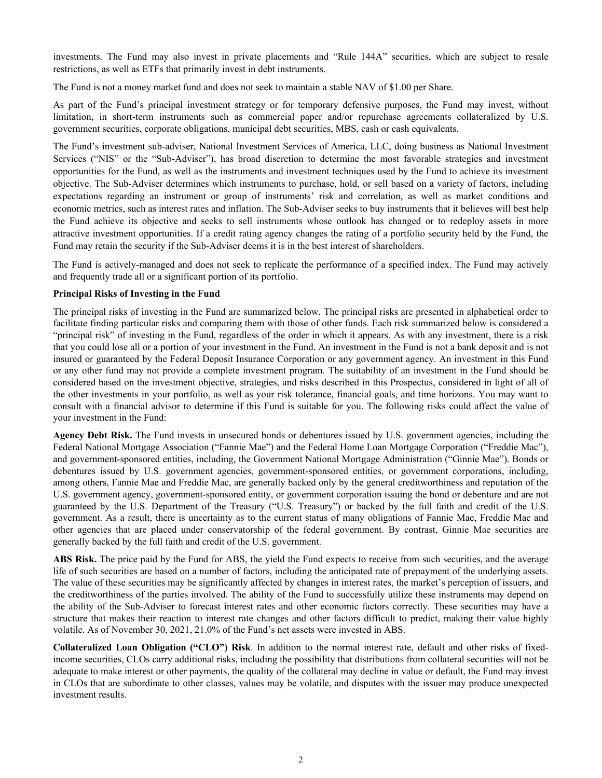investments. The Fund may also invest in private placements and "Rule 144A" securities, which are subject to resale restrictions, as well as ETFs that primarily invest in debt instruments.

The Fund is not a money market fund and does not seek to maintain a stable NAV of \$1.00 per Share.

As part of the Fund's principal investment strategy or for temporary defensive purposes, the Fund may invest, without limitation, in short-term instruments such as commercial paper and/or repurchase agreements collateralized by U.S. government securities, corporate obligations, municipal debt securities, MBS, cash or cash equivalents.

The Fund's investment sub-adviser, National Investment Services of America, LLC, doing business as National Investment Services ("NIS" or the "Sub-Adviser"), has broad discretion to determine the most favorable strategies and investment opportunities for the Fund, as well as the instruments and investment techniques used by the Fund to achieve its investment objective. The Sub-Adviser determines which instruments to purchase, hold, or sell based on a variety of factors, including expectations regarding an instrument or group of instruments' risk and correlation, as well as market conditions and economic metrics, such as interest rates and inflation. The Sub-Adviser seeks to buy instruments that it believes will best help the Fund achieve its objective and seeks to sell instruments whose outlook has changed or to redeploy assets in more attractive investment opportunities. If a credit rating agency changes the rating of a portfolio security held by the Fund, the Fund may retain the security if the Sub-Adviser deems it is in the best interest of shareholders.

The Fund is actively-managed and does not seek to replicate the performance of a specified index. The Fund may actively and frequently trade all or a significant portion of its portfolio.

#### **Principal Risks of Investing in the Fund**

The principal risks of investing in the Fund are summarized below. The principal risks are presented in alphabetical order to facilitate finding particular risks and comparing them with those of other funds. Each risk summarized below is considered a "principal risk" of investing in the Fund, regardless of the order in which it appears. As with any investment, there is a risk that you could lose all or a portion of your investment in the Fund. An investment in the Fund is not a bank deposit and is not insured or guaranteed by the Federal Deposit Insurance Corporation or any government agency. An investment in this Fund or any other fund may not provide a complete investment program. The suitability of an investment in the Fund should be considered based on the investment objective, strategies, and risks described in this Prospectus, considered in light of all of the other investments in your portfolio, as well as your risk tolerance, financial goals, and time horizons. You may want to consult with a financial advisor to determine if this Fund is suitable for you. The following risks could affect the value of your investment in the Fund:

**Agency Debt Risk.** The Fund invests in unsecured bonds or debentures issued by U.S. government agencies, including the Federal National Mortgage Association ("Fannie Mae") and the Federal Home Loan Mortgage Corporation ("Freddie Mac"), and government-sponsored entities, including, the Government National Mortgage Administration ("Ginnie Mae"). Bonds or debentures issued by U.S. government agencies, government-sponsored entities, or government corporations, including, among others, Fannie Mae and Freddie Mac, are generally backed only by the general creditworthiness and reputation of the U.S. government agency, government-sponsored entity, or government corporation issuing the bond or debenture and are not guaranteed by the U.S. Department of the Treasury ("U.S. Treasury") or backed by the full faith and credit of the U.S. government. As a result, there is uncertainty as to the current status of many obligations of Fannie Mae, Freddie Mac and other agencies that are placed under conservatorship of the federal government. By contrast, Ginnie Mae securities are generally backed by the full faith and credit of the U.S. government.

**ABS Risk.** The price paid by the Fund for ABS, the yield the Fund expects to receive from such securities, and the average life of such securities are based on a number of factors, including the anticipated rate of prepayment of the underlying assets. The value of these securities may be significantly affected by changes in interest rates, the market's perception of issuers, and the creditworthiness of the parties involved. The ability of the Fund to successfully utilize these instruments may depend on the ability of the Sub-Adviser to forecast interest rates and other economic factors correctly. These securities may have a structure that makes their reaction to interest rate changes and other factors difficult to predict, making their value highly volatile. As of November 30, 2021, 21.0% of the Fund's net assets were invested in ABS.

**Collateralized Loan Obligation ("CLO") Risk**. In addition to the normal interest rate, default and other risks of fixedincome securities, CLOs carry additional risks, including the possibility that distributions from collateral securities will not be adequate to make interest or other payments, the quality of the collateral may decline in value or default, the Fund may invest in CLOs that are subordinate to other classes, values may be volatile, and disputes with the issuer may produce unexpected investment results.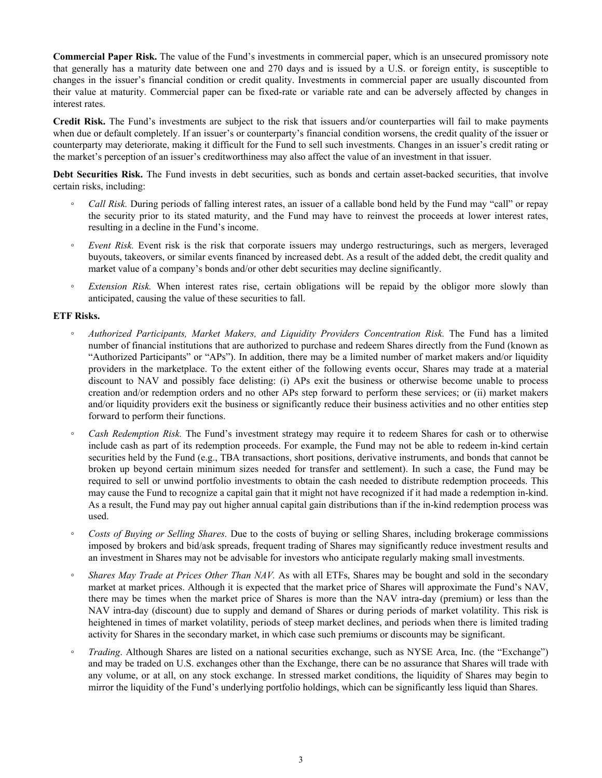**Commercial Paper Risk.** The value of the Fund's investments in commercial paper, which is an unsecured promissory note that generally has a maturity date between one and 270 days and is issued by a U.S. or foreign entity, is susceptible to changes in the issuer's financial condition or credit quality. Investments in commercial paper are usually discounted from their value at maturity. Commercial paper can be fixed-rate or variable rate and can be adversely affected by changes in interest rates.

**Credit Risk.** The Fund's investments are subject to the risk that issuers and/or counterparties will fail to make payments when due or default completely. If an issuer's or counterparty's financial condition worsens, the credit quality of the issuer or counterparty may deteriorate, making it difficult for the Fund to sell such investments. Changes in an issuer's credit rating or the market's perception of an issuer's creditworthiness may also affect the value of an investment in that issuer.

**Debt Securities Risk.** The Fund invests in debt securities, such as bonds and certain asset-backed securities, that involve certain risks, including:

- *Call Risk.* During periods of falling interest rates, an issuer of a callable bond held by the Fund may "call" or repay the security prior to its stated maturity, and the Fund may have to reinvest the proceeds at lower interest rates, resulting in a decline in the Fund's income.
- *◦ Event Risk.* Event risk is the risk that corporate issuers may undergo restructurings, such as mergers, leveraged buyouts, takeovers, or similar events financed by increased debt. As a result of the added debt, the credit quality and market value of a company's bonds and/or other debt securities may decline significantly.
- *Extension Risk.* When interest rates rise, certain obligations will be repaid by the obligor more slowly than anticipated, causing the value of these securities to fall.

## **ETF Risks.**

- *◦ Authorized Participants, Market Makers, and Liquidity Providers Concentration Risk.* The Fund has a limited number of financial institutions that are authorized to purchase and redeem Shares directly from the Fund (known as "Authorized Participants" or "APs"). In addition, there may be a limited number of market makers and/or liquidity providers in the marketplace. To the extent either of the following events occur, Shares may trade at a material discount to NAV and possibly face delisting: (i) APs exit the business or otherwise become unable to process creation and/or redemption orders and no other APs step forward to perform these services; or (ii) market makers and/or liquidity providers exit the business or significantly reduce their business activities and no other entities step forward to perform their functions.
- *Cash Redemption Risk.* The Fund's investment strategy may require it to redeem Shares for cash or to otherwise include cash as part of its redemption proceeds. For example, the Fund may not be able to redeem in-kind certain securities held by the Fund (e.g., TBA transactions, short positions, derivative instruments, and bonds that cannot be broken up beyond certain minimum sizes needed for transfer and settlement). In such a case, the Fund may be required to sell or unwind portfolio investments to obtain the cash needed to distribute redemption proceeds. This may cause the Fund to recognize a capital gain that it might not have recognized if it had made a redemption in-kind. As a result, the Fund may pay out higher annual capital gain distributions than if the in-kind redemption process was used.
- *◦ Costs of Buying or Selling Shares.* Due to the costs of buying or selling Shares, including brokerage commissions imposed by brokers and bid/ask spreads, frequent trading of Shares may significantly reduce investment results and an investment in Shares may not be advisable for investors who anticipate regularly making small investments.
- *Shares May Trade at Prices Other Than NAV.* As with all ETFs, Shares may be bought and sold in the secondary market at market prices. Although it is expected that the market price of Shares will approximate the Fund's NAV, there may be times when the market price of Shares is more than the NAV intra-day (premium) or less than the NAV intra-day (discount) due to supply and demand of Shares or during periods of market volatility. This risk is heightened in times of market volatility, periods of steep market declines, and periods when there is limited trading activity for Shares in the secondary market, in which case such premiums or discounts may be significant.
- *Trading*. Although Shares are listed on a national securities exchange, such as NYSE Arca, Inc. (the "Exchange") and may be traded on U.S. exchanges other than the Exchange, there can be no assurance that Shares will trade with any volume, or at all, on any stock exchange. In stressed market conditions, the liquidity of Shares may begin to mirror the liquidity of the Fund's underlying portfolio holdings, which can be significantly less liquid than Shares.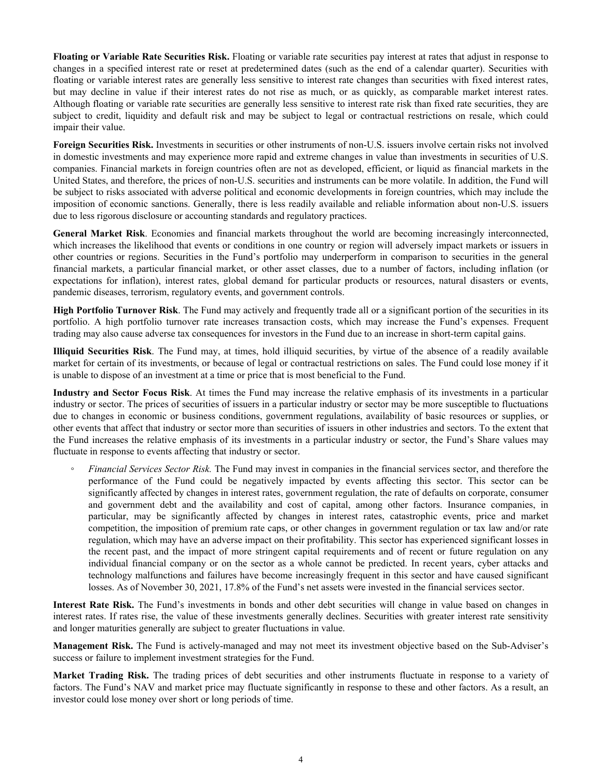**Floating or Variable Rate Securities Risk.** Floating or variable rate securities pay interest at rates that adjust in response to changes in a specified interest rate or reset at predetermined dates (such as the end of a calendar quarter). Securities with floating or variable interest rates are generally less sensitive to interest rate changes than securities with fixed interest rates, but may decline in value if their interest rates do not rise as much, or as quickly, as comparable market interest rates. Although floating or variable rate securities are generally less sensitive to interest rate risk than fixed rate securities, they are subject to credit, liquidity and default risk and may be subject to legal or contractual restrictions on resale, which could impair their value.

**Foreign Securities Risk.** Investments in securities or other instruments of non-U.S. issuers involve certain risks not involved in domestic investments and may experience more rapid and extreme changes in value than investments in securities of U.S. companies. Financial markets in foreign countries often are not as developed, efficient, or liquid as financial markets in the United States, and therefore, the prices of non-U.S. securities and instruments can be more volatile. In addition, the Fund will be subject to risks associated with adverse political and economic developments in foreign countries, which may include the imposition of economic sanctions. Generally, there is less readily available and reliable information about non-U.S. issuers due to less rigorous disclosure or accounting standards and regulatory practices.

**General Market Risk**. Economies and financial markets throughout the world are becoming increasingly interconnected, which increases the likelihood that events or conditions in one country or region will adversely impact markets or issuers in other countries or regions. Securities in the Fund's portfolio may underperform in comparison to securities in the general financial markets, a particular financial market, or other asset classes, due to a number of factors, including inflation (or expectations for inflation), interest rates, global demand for particular products or resources, natural disasters or events, pandemic diseases, terrorism, regulatory events, and government controls.

**High Portfolio Turnover Risk**. The Fund may actively and frequently trade all or a significant portion of the securities in its portfolio. A high portfolio turnover rate increases transaction costs, which may increase the Fund's expenses. Frequent trading may also cause adverse tax consequences for investors in the Fund due to an increase in short-term capital gains.

**Illiquid Securities Risk**. The Fund may, at times, hold illiquid securities, by virtue of the absence of a readily available market for certain of its investments, or because of legal or contractual restrictions on sales. The Fund could lose money if it is unable to dispose of an investment at a time or price that is most beneficial to the Fund.

**Industry and Sector Focus Risk**. At times the Fund may increase the relative emphasis of its investments in a particular industry or sector. The prices of securities of issuers in a particular industry or sector may be more susceptible to fluctuations due to changes in economic or business conditions, government regulations, availability of basic resources or supplies, or other events that affect that industry or sector more than securities of issuers in other industries and sectors. To the extent that the Fund increases the relative emphasis of its investments in a particular industry or sector, the Fund's Share values may fluctuate in response to events affecting that industry or sector.

◦ *Financial Services Sector Risk.* The Fund may invest in companies in the financial services sector, and therefore the performance of the Fund could be negatively impacted by events affecting this sector. This sector can be significantly affected by changes in interest rates, government regulation, the rate of defaults on corporate, consumer and government debt and the availability and cost of capital, among other factors. Insurance companies, in particular, may be significantly affected by changes in interest rates, catastrophic events, price and market competition, the imposition of premium rate caps, or other changes in government regulation or tax law and/or rate regulation, which may have an adverse impact on their profitability. This sector has experienced significant losses in the recent past, and the impact of more stringent capital requirements and of recent or future regulation on any individual financial company or on the sector as a whole cannot be predicted. In recent years, cyber attacks and technology malfunctions and failures have become increasingly frequent in this sector and have caused significant losses. As of November 30, 2021, 17.8% of the Fund's net assets were invested in the financial services sector.

**Interest Rate Risk.** The Fund's investments in bonds and other debt securities will change in value based on changes in interest rates. If rates rise, the value of these investments generally declines. Securities with greater interest rate sensitivity and longer maturities generally are subject to greater fluctuations in value.

**Management Risk.** The Fund is actively-managed and may not meet its investment objective based on the Sub-Adviser's success or failure to implement investment strategies for the Fund.

**Market Trading Risk.** The trading prices of debt securities and other instruments fluctuate in response to a variety of factors. The Fund's NAV and market price may fluctuate significantly in response to these and other factors. As a result, an investor could lose money over short or long periods of time.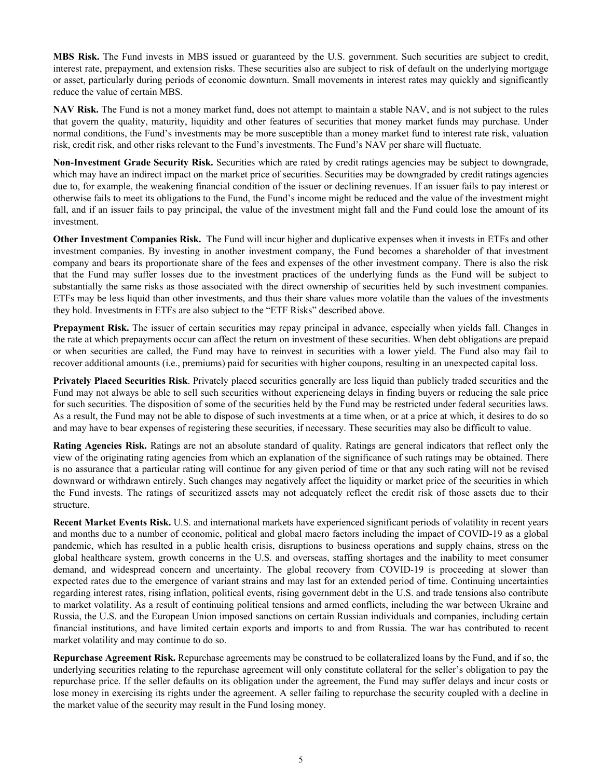**MBS Risk.** The Fund invests in MBS issued or guaranteed by the U.S. government. Such securities are subject to credit, interest rate, prepayment, and extension risks. These securities also are subject to risk of default on the underlying mortgage or asset, particularly during periods of economic downturn. Small movements in interest rates may quickly and significantly reduce the value of certain MBS.

**NAV Risk.** The Fund is not a money market fund, does not attempt to maintain a stable NAV, and is not subject to the rules that govern the quality, maturity, liquidity and other features of securities that money market funds may purchase. Under normal conditions, the Fund's investments may be more susceptible than a money market fund to interest rate risk, valuation risk, credit risk, and other risks relevant to the Fund's investments. The Fund's NAV per share will fluctuate.

**Non-Investment Grade Security Risk.** Securities which are rated by credit ratings agencies may be subject to downgrade, which may have an indirect impact on the market price of securities. Securities may be downgraded by credit ratings agencies due to, for example, the weakening financial condition of the issuer or declining revenues. If an issuer fails to pay interest or otherwise fails to meet its obligations to the Fund, the Fund's income might be reduced and the value of the investment might fall, and if an issuer fails to pay principal, the value of the investment might fall and the Fund could lose the amount of its investment.

**Other Investment Companies Risk.** The Fund will incur higher and duplicative expenses when it invests in ETFs and other investment companies. By investing in another investment company, the Fund becomes a shareholder of that investment company and bears its proportionate share of the fees and expenses of the other investment company. There is also the risk that the Fund may suffer losses due to the investment practices of the underlying funds as the Fund will be subject to substantially the same risks as those associated with the direct ownership of securities held by such investment companies. ETFs may be less liquid than other investments, and thus their share values more volatile than the values of the investments they hold. Investments in ETFs are also subject to the "ETF Risks" described above.

**Prepayment Risk.** The issuer of certain securities may repay principal in advance, especially when yields fall. Changes in the rate at which prepayments occur can affect the return on investment of these securities. When debt obligations are prepaid or when securities are called, the Fund may have to reinvest in securities with a lower yield. The Fund also may fail to recover additional amounts (i.e., premiums) paid for securities with higher coupons, resulting in an unexpected capital loss.

**Privately Placed Securities Risk**. Privately placed securities generally are less liquid than publicly traded securities and the Fund may not always be able to sell such securities without experiencing delays in finding buyers or reducing the sale price for such securities. The disposition of some of the securities held by the Fund may be restricted under federal securities laws. As a result, the Fund may not be able to dispose of such investments at a time when, or at a price at which, it desires to do so and may have to bear expenses of registering these securities, if necessary. These securities may also be difficult to value.

**Rating Agencies Risk.** Ratings are not an absolute standard of quality. Ratings are general indicators that reflect only the view of the originating rating agencies from which an explanation of the significance of such ratings may be obtained. There is no assurance that a particular rating will continue for any given period of time or that any such rating will not be revised downward or withdrawn entirely. Such changes may negatively affect the liquidity or market price of the securities in which the Fund invests. The ratings of securitized assets may not adequately reflect the credit risk of those assets due to their structure.

**Recent Market Events Risk.** U.S. and international markets have experienced significant periods of volatility in recent years and months due to a number of economic, political and global macro factors including the impact of COVID-19 as a global pandemic, which has resulted in a public health crisis, disruptions to business operations and supply chains, stress on the global healthcare system, growth concerns in the U.S. and overseas, staffing shortages and the inability to meet consumer demand, and widespread concern and uncertainty. The global recovery from COVID-19 is proceeding at slower than expected rates due to the emergence of variant strains and may last for an extended period of time. Continuing uncertainties regarding interest rates, rising inflation, political events, rising government debt in the U.S. and trade tensions also contribute to market volatility. As a result of continuing political tensions and armed conflicts, including the war between Ukraine and Russia, the U.S. and the European Union imposed sanctions on certain Russian individuals and companies, including certain financial institutions, and have limited certain exports and imports to and from Russia. The war has contributed to recent market volatility and may continue to do so.

**Repurchase Agreement Risk.** Repurchase agreements may be construed to be collateralized loans by the Fund, and if so, the underlying securities relating to the repurchase agreement will only constitute collateral for the seller's obligation to pay the repurchase price. If the seller defaults on its obligation under the agreement, the Fund may suffer delays and incur costs or lose money in exercising its rights under the agreement. A seller failing to repurchase the security coupled with a decline in the market value of the security may result in the Fund losing money.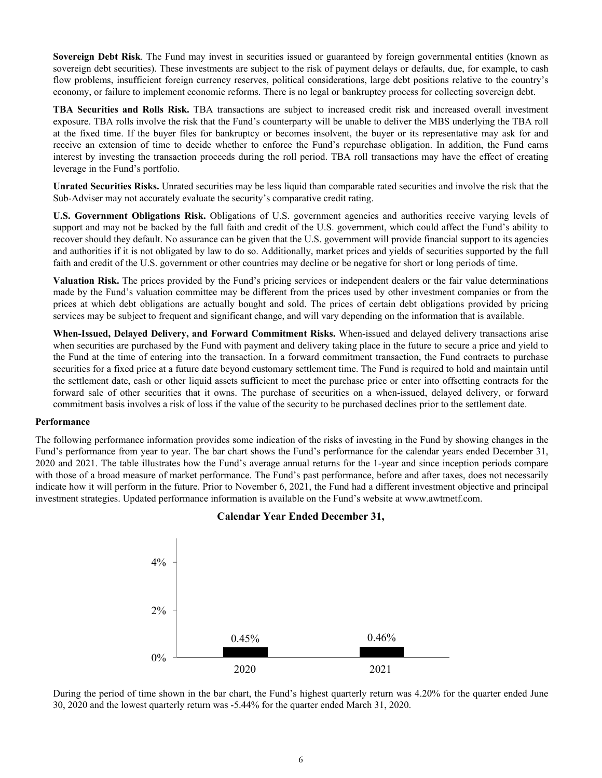**Sovereign Debt Risk**. The Fund may invest in securities issued or guaranteed by foreign governmental entities (known as sovereign debt securities). These investments are subject to the risk of payment delays or defaults, due, for example, to cash flow problems, insufficient foreign currency reserves, political considerations, large debt positions relative to the country's economy, or failure to implement economic reforms. There is no legal or bankruptcy process for collecting sovereign debt.

**TBA Securities and Rolls Risk.** TBA transactions are subject to increased credit risk and increased overall investment exposure. TBA rolls involve the risk that the Fund's counterparty will be unable to deliver the MBS underlying the TBA roll at the fixed time. If the buyer files for bankruptcy or becomes insolvent, the buyer or its representative may ask for and receive an extension of time to decide whether to enforce the Fund's repurchase obligation. In addition, the Fund earns interest by investing the transaction proceeds during the roll period. TBA roll transactions may have the effect of creating leverage in the Fund's portfolio.

**Unrated Securities Risks.** Unrated securities may be less liquid than comparable rated securities and involve the risk that the Sub-Adviser may not accurately evaluate the security's comparative credit rating.

**U.S. Government Obligations Risk.** Obligations of U.S. government agencies and authorities receive varying levels of support and may not be backed by the full faith and credit of the U.S. government, which could affect the Fund's ability to recover should they default. No assurance can be given that the U.S. government will provide financial support to its agencies and authorities if it is not obligated by law to do so. Additionally, market prices and yields of securities supported by the full faith and credit of the U.S. government or other countries may decline or be negative for short or long periods of time.

**Valuation Risk.** The prices provided by the Fund's pricing services or independent dealers or the fair value determinations made by the Fund's valuation committee may be different from the prices used by other investment companies or from the prices at which debt obligations are actually bought and sold. The prices of certain debt obligations provided by pricing services may be subject to frequent and significant change, and will vary depending on the information that is available.

**When-Issued, Delayed Delivery, and Forward Commitment Risks.** When-issued and delayed delivery transactions arise when securities are purchased by the Fund with payment and delivery taking place in the future to secure a price and yield to the Fund at the time of entering into the transaction. In a forward commitment transaction, the Fund contracts to purchase securities for a fixed price at a future date beyond customary settlement time. The Fund is required to hold and maintain until the settlement date, cash or other liquid assets sufficient to meet the purchase price or enter into offsetting contracts for the forward sale of other securities that it owns. The purchase of securities on a when-issued, delayed delivery, or forward commitment basis involves a risk of loss if the value of the security to be purchased declines prior to the settlement date.

#### **Performance**

The following performance information provides some indication of the risks of investing in the Fund by showing changes in the Fund's performance from year to year. The bar chart shows the Fund's performance for the calendar years ended December 31, 2020 and 2021. The table illustrates how the Fund's average annual returns for the 1-year and since inception periods compare with those of a broad measure of market performance. The Fund's past performance, before and after taxes, does not necessarily indicate how it will perform in the future. Prior to November 6, 2021, the Fund had a different investment objective and principal investment strategies. Updated performance information is available on the Fund's website at www.awtmetf.com.



## **Calendar Year Ended December 31,**

During the period of time shown in the bar chart, the Fund's highest quarterly return was 4.20% for the quarter ended June 30, 2020 and the lowest quarterly return was -5.44% for the quarter ended March 31, 2020.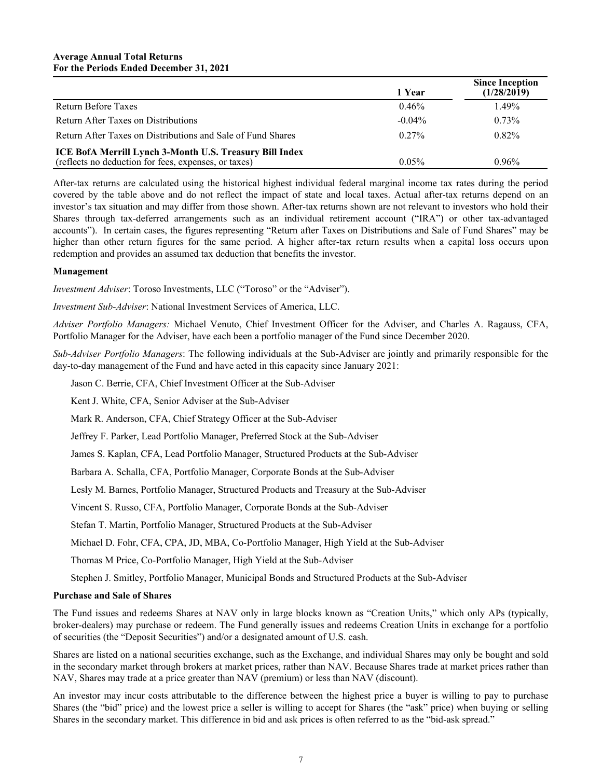|                                                             | 1 Year    | <b>Since Inception</b><br>(1/28/2019) |
|-------------------------------------------------------------|-----------|---------------------------------------|
| Return Before Taxes                                         | 0.46%     | 1.49%                                 |
| Return After Taxes on Distributions                         | $-0.04\%$ | $0.73\%$                              |
| Return After Taxes on Distributions and Sale of Fund Shares | $0.27\%$  | $0.82\%$                              |
| ICE BofA Merrill Lynch 3-Month U.S. Treasury Bill Index     |           |                                       |
| (reflects no deduction for fees, expenses, or taxes)        | $0.05\%$  | $0.96\%$                              |

After-tax returns are calculated using the historical highest individual federal marginal income tax rates during the period covered by the table above and do not reflect the impact of state and local taxes. Actual after-tax returns depend on an investor's tax situation and may differ from those shown. After-tax returns shown are not relevant to investors who hold their Shares through tax-deferred arrangements such as an individual retirement account ("IRA") or other tax-advantaged accounts"). In certain cases, the figures representing "Return after Taxes on Distributions and Sale of Fund Shares" may be higher than other return figures for the same period. A higher after-tax return results when a capital loss occurs upon redemption and provides an assumed tax deduction that benefits the investor.

#### **Management**

*Investment Adviser*: Toroso Investments, LLC ("Toroso" or the "Adviser").

*Investment Sub-Adviser*: National Investment Services of America, LLC.

*Adviser Portfolio Managers:* Michael Venuto, Chief Investment Officer for the Adviser, and Charles A. Ragauss, CFA, Portfolio Manager for the Adviser, have each been a portfolio manager of the Fund since December 2020.

*Sub-Adviser Portfolio Managers*: The following individuals at the Sub-Adviser are jointly and primarily responsible for the day-to-day management of the Fund and have acted in this capacity since January 2021:

Jason C. Berrie, CFA, Chief Investment Officer at the Sub-Adviser

Kent J. White, CFA, Senior Adviser at the Sub-Adviser

Mark R. Anderson, CFA, Chief Strategy Officer at the Sub-Adviser

Jeffrey F. Parker, Lead Portfolio Manager, Preferred Stock at the Sub-Adviser

James S. Kaplan, CFA, Lead Portfolio Manager, Structured Products at the Sub-Adviser

Barbara A. Schalla, CFA, Portfolio Manager, Corporate Bonds at the Sub-Adviser

Lesly M. Barnes, Portfolio Manager, Structured Products and Treasury at the Sub-Adviser

Vincent S. Russo, CFA, Portfolio Manager, Corporate Bonds at the Sub-Adviser

Stefan T. Martin, Portfolio Manager, Structured Products at the Sub-Adviser

Michael D. Fohr, CFA, CPA, JD, MBA, Co-Portfolio Manager, High Yield at the Sub-Adviser

Thomas M Price, Co-Portfolio Manager, High Yield at the Sub-Adviser

Stephen J. Smitley, Portfolio Manager, Municipal Bonds and Structured Products at the Sub-Adviser

#### **Purchase and Sale of Shares**

The Fund issues and redeems Shares at NAV only in large blocks known as "Creation Units," which only APs (typically, broker-dealers) may purchase or redeem. The Fund generally issues and redeems Creation Units in exchange for a portfolio of securities (the "Deposit Securities") and/or a designated amount of U.S. cash.

Shares are listed on a national securities exchange, such as the Exchange, and individual Shares may only be bought and sold in the secondary market through brokers at market prices, rather than NAV. Because Shares trade at market prices rather than NAV, Shares may trade at a price greater than NAV (premium) or less than NAV (discount).

An investor may incur costs attributable to the difference between the highest price a buyer is willing to pay to purchase Shares (the "bid" price) and the lowest price a seller is willing to accept for Shares (the "ask" price) when buying or selling Shares in the secondary market. This difference in bid and ask prices is often referred to as the "bid-ask spread."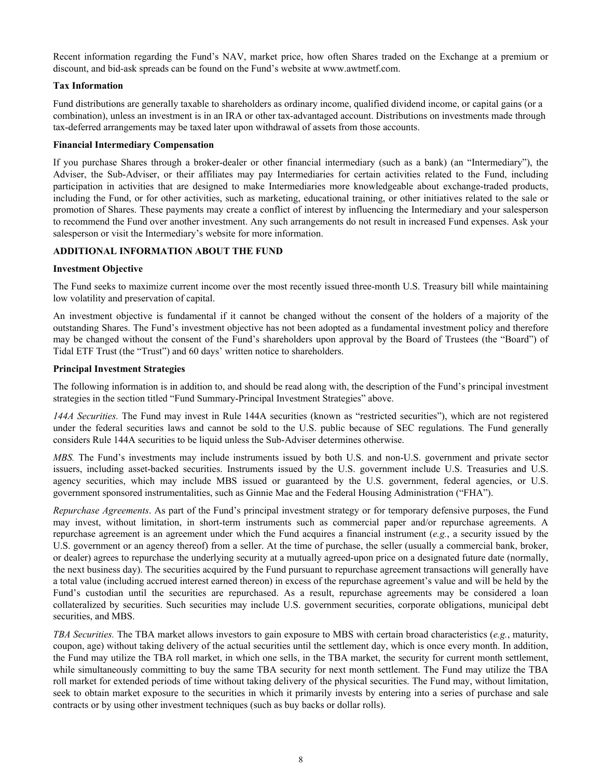<span id="page-12-0"></span>Recent information regarding the Fund's NAV, market price, how often Shares traded on the Exchange at a premium or discount, and bid-ask spreads can be found on the Fund's website at www.awtmetf.com.

## **Tax Information**

Fund distributions are generally taxable to shareholders as ordinary income, qualified dividend income, or capital gains (or a combination), unless an investment is in an IRA or other tax-advantaged account. Distributions on investments made through tax-deferred arrangements may be taxed later upon withdrawal of assets from those accounts.

## **Financial Intermediary Compensation**

If you purchase Shares through a broker-dealer or other financial intermediary (such as a bank) (an "Intermediary"), the Adviser, the Sub-Adviser, or their affiliates may pay Intermediaries for certain activities related to the Fund, including participation in activities that are designed to make Intermediaries more knowledgeable about exchange-traded products, including the Fund, or for other activities, such as marketing, educational training, or other initiatives related to the sale or promotion of Shares. These payments may create a conflict of interest by influencing the Intermediary and your salesperson to recommend the Fund over another investment. Any such arrangements do not result in increased Fund expenses. Ask your salesperson or visit the Intermediary's website for more information.

## **ADDITIONAL INFORMATION ABOUT THE FUND**

## **Investment Objective**

The Fund seeks to maximize current income over the most recently issued three-month U.S. Treasury bill while maintaining low volatility and preservation of capital.

An investment objective is fundamental if it cannot be changed without the consent of the holders of a majority of the outstanding Shares. The Fund's investment objective has not been adopted as a fundamental investment policy and therefore may be changed without the consent of the Fund's shareholders upon approval by the Board of Trustees (the "Board") of Tidal ETF Trust (the "Trust") and 60 days' written notice to shareholders.

#### **Principal Investment Strategies**

The following information is in addition to, and should be read along with, the description of the Fund's principal investment strategies in the section titled "Fund Summary-Principal Investment Strategies" above.

*144A Securities.* The Fund may invest in Rule 144A securities (known as "restricted securities"), which are not registered under the federal securities laws and cannot be sold to the U.S. public because of SEC regulations. The Fund generally considers Rule 144A securities to be liquid unless the Sub-Adviser determines otherwise.

*MBS.* The Fund's investments may include instruments issued by both U.S. and non-U.S. government and private sector issuers, including asset-backed securities. Instruments issued by the U.S. government include U.S. Treasuries and U.S. agency securities, which may include MBS issued or guaranteed by the U.S. government, federal agencies, or U.S. government sponsored instrumentalities, such as Ginnie Mae and the Federal Housing Administration ("FHA").

*Repurchase Agreements*. As part of the Fund's principal investment strategy or for temporary defensive purposes, the Fund may invest, without limitation, in short-term instruments such as commercial paper and/or repurchase agreements. A repurchase agreement is an agreement under which the Fund acquires a financial instrument (*e.g.*, a security issued by the U.S. government or an agency thereof) from a seller. At the time of purchase, the seller (usually a commercial bank, broker, or dealer) agrees to repurchase the underlying security at a mutually agreed-upon price on a designated future date (normally, the next business day). The securities acquired by the Fund pursuant to repurchase agreement transactions will generally have a total value (including accrued interest earned thereon) in excess of the repurchase agreement's value and will be held by the Fund's custodian until the securities are repurchased. As a result, repurchase agreements may be considered a loan collateralized by securities. Such securities may include U.S. government securities, corporate obligations, municipal debt securities, and MBS.

*TBA Securities.* The TBA market allows investors to gain exposure to MBS with certain broad characteristics (*e.g.*, maturity, coupon, age) without taking delivery of the actual securities until the settlement day, which is once every month. In addition, the Fund may utilize the TBA roll market, in which one sells, in the TBA market, the security for current month settlement, while simultaneously committing to buy the same TBA security for next month settlement. The Fund may utilize the TBA roll market for extended periods of time without taking delivery of the physical securities. The Fund may, without limitation, seek to obtain market exposure to the securities in which it primarily invests by entering into a series of purchase and sale contracts or by using other investment techniques (such as buy backs or dollar rolls).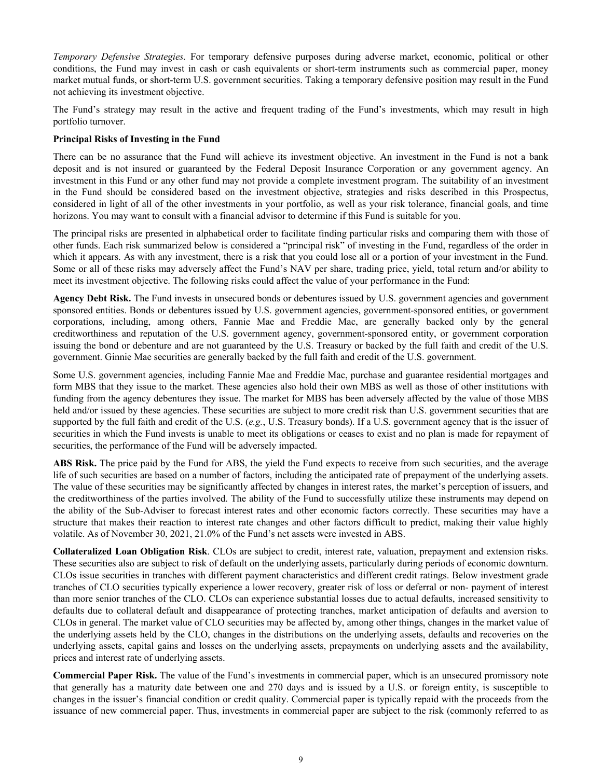*Temporary Defensive Strategies.* For temporary defensive purposes during adverse market, economic, political or other conditions, the Fund may invest in cash or cash equivalents or short-term instruments such as commercial paper, money market mutual funds, or short-term U.S. government securities. Taking a temporary defensive position may result in the Fund not achieving its investment objective.

The Fund's strategy may result in the active and frequent trading of the Fund's investments, which may result in high portfolio turnover.

## **Principal Risks of Investing in the Fund**

There can be no assurance that the Fund will achieve its investment objective. An investment in the Fund is not a bank deposit and is not insured or guaranteed by the Federal Deposit Insurance Corporation or any government agency. An investment in this Fund or any other fund may not provide a complete investment program. The suitability of an investment in the Fund should be considered based on the investment objective, strategies and risks described in this Prospectus, considered in light of all of the other investments in your portfolio, as well as your risk tolerance, financial goals, and time horizons. You may want to consult with a financial advisor to determine if this Fund is suitable for you.

The principal risks are presented in alphabetical order to facilitate finding particular risks and comparing them with those of other funds. Each risk summarized below is considered a "principal risk" of investing in the Fund, regardless of the order in which it appears. As with any investment, there is a risk that you could lose all or a portion of your investment in the Fund. Some or all of these risks may adversely affect the Fund's NAV per share, trading price, yield, total return and/or ability to meet its investment objective. The following risks could affect the value of your performance in the Fund:

**Agency Debt Risk.** The Fund invests in unsecured bonds or debentures issued by U.S. government agencies and government sponsored entities. Bonds or debentures issued by U.S. government agencies, government-sponsored entities, or government corporations, including, among others, Fannie Mae and Freddie Mac, are generally backed only by the general creditworthiness and reputation of the U.S. government agency, government-sponsored entity, or government corporation issuing the bond or debenture and are not guaranteed by the U.S. Treasury or backed by the full faith and credit of the U.S. government. Ginnie Mae securities are generally backed by the full faith and credit of the U.S. government.

Some U.S. government agencies, including Fannie Mae and Freddie Mac, purchase and guarantee residential mortgages and form MBS that they issue to the market. These agencies also hold their own MBS as well as those of other institutions with funding from the agency debentures they issue. The market for MBS has been adversely affected by the value of those MBS held and/or issued by these agencies. These securities are subject to more credit risk than U.S. government securities that are supported by the full faith and credit of the U.S. (*e.g.*, U.S. Treasury bonds). If a U.S. government agency that is the issuer of securities in which the Fund invests is unable to meet its obligations or ceases to exist and no plan is made for repayment of securities, the performance of the Fund will be adversely impacted.

**ABS Risk.** The price paid by the Fund for ABS, the yield the Fund expects to receive from such securities, and the average life of such securities are based on a number of factors, including the anticipated rate of prepayment of the underlying assets. The value of these securities may be significantly affected by changes in interest rates, the market's perception of issuers, and the creditworthiness of the parties involved. The ability of the Fund to successfully utilize these instruments may depend on the ability of the Sub-Adviser to forecast interest rates and other economic factors correctly. These securities may have a structure that makes their reaction to interest rate changes and other factors difficult to predict, making their value highly volatile. As of November 30, 2021, 21.0% of the Fund's net assets were invested in ABS.

**Collateralized Loan Obligation Risk**. CLOs are subject to credit, interest rate, valuation, prepayment and extension risks. These securities also are subject to risk of default on the underlying assets, particularly during periods of economic downturn. CLOs issue securities in tranches with different payment characteristics and different credit ratings. Below investment grade tranches of CLO securities typically experience a lower recovery, greater risk of loss or deferral or non- payment of interest than more senior tranches of the CLO. CLOs can experience substantial losses due to actual defaults, increased sensitivity to defaults due to collateral default and disappearance of protecting tranches, market anticipation of defaults and aversion to CLOs in general. The market value of CLO securities may be affected by, among other things, changes in the market value of the underlying assets held by the CLO, changes in the distributions on the underlying assets, defaults and recoveries on the underlying assets, capital gains and losses on the underlying assets, prepayments on underlying assets and the availability, prices and interest rate of underlying assets.

**Commercial Paper Risk.** The value of the Fund's investments in commercial paper, which is an unsecured promissory note that generally has a maturity date between one and 270 days and is issued by a U.S. or foreign entity, is susceptible to changes in the issuer's financial condition or credit quality. Commercial paper is typically repaid with the proceeds from the issuance of new commercial paper. Thus, investments in commercial paper are subject to the risk (commonly referred to as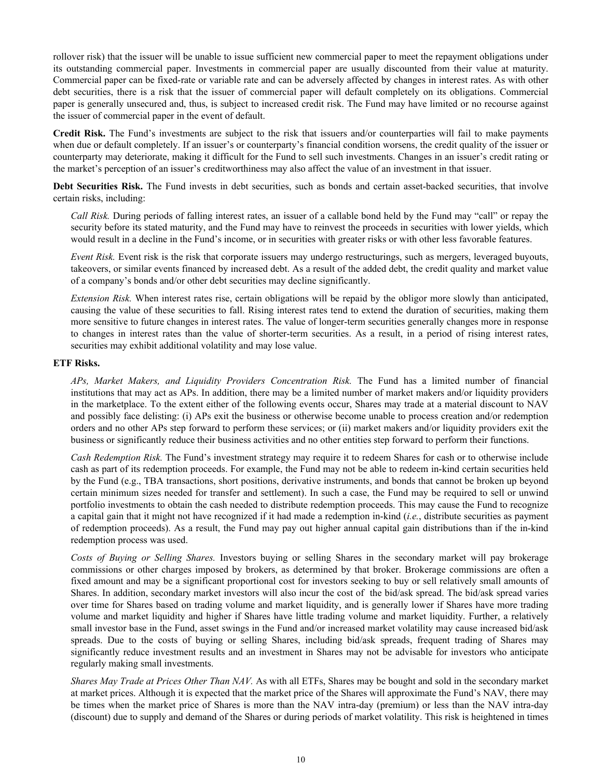rollover risk) that the issuer will be unable to issue sufficient new commercial paper to meet the repayment obligations under its outstanding commercial paper. Investments in commercial paper are usually discounted from their value at maturity. Commercial paper can be fixed-rate or variable rate and can be adversely affected by changes in interest rates. As with other debt securities, there is a risk that the issuer of commercial paper will default completely on its obligations. Commercial paper is generally unsecured and, thus, is subject to increased credit risk. The Fund may have limited or no recourse against the issuer of commercial paper in the event of default.

**Credit Risk.** The Fund's investments are subject to the risk that issuers and/or counterparties will fail to make payments when due or default completely. If an issuer's or counterparty's financial condition worsens, the credit quality of the issuer or counterparty may deteriorate, making it difficult for the Fund to sell such investments. Changes in an issuer's credit rating or the market's perception of an issuer's creditworthiness may also affect the value of an investment in that issuer.

**Debt Securities Risk.** The Fund invests in debt securities, such as bonds and certain asset-backed securities, that involve certain risks, including:

*Call Risk.* During periods of falling interest rates, an issuer of a callable bond held by the Fund may "call" or repay the security before its stated maturity, and the Fund may have to reinvest the proceeds in securities with lower yields, which would result in a decline in the Fund's income, or in securities with greater risks or with other less favorable features.

*Event Risk.* Event risk is the risk that corporate issuers may undergo restructurings, such as mergers, leveraged buyouts, takeovers, or similar events financed by increased debt. As a result of the added debt, the credit quality and market value of a company's bonds and/or other debt securities may decline significantly.

*Extension Risk.* When interest rates rise, certain obligations will be repaid by the obligor more slowly than anticipated, causing the value of these securities to fall. Rising interest rates tend to extend the duration of securities, making them more sensitive to future changes in interest rates. The value of longer-term securities generally changes more in response to changes in interest rates than the value of shorter-term securities. As a result, in a period of rising interest rates, securities may exhibit additional volatility and may lose value.

#### **ETF Risks.**

*APs, Market Makers, and Liquidity Providers Concentration Risk.* The Fund has a limited number of financial institutions that may act as APs. In addition, there may be a limited number of market makers and/or liquidity providers in the marketplace. To the extent either of the following events occur, Shares may trade at a material discount to NAV and possibly face delisting: (i) APs exit the business or otherwise become unable to process creation and/or redemption orders and no other APs step forward to perform these services; or (ii) market makers and/or liquidity providers exit the business or significantly reduce their business activities and no other entities step forward to perform their functions.

*Cash Redemption Risk.* The Fund's investment strategy may require it to redeem Shares for cash or to otherwise include cash as part of its redemption proceeds. For example, the Fund may not be able to redeem in-kind certain securities held by the Fund (e.g., TBA transactions, short positions, derivative instruments, and bonds that cannot be broken up beyond certain minimum sizes needed for transfer and settlement). In such a case, the Fund may be required to sell or unwind portfolio investments to obtain the cash needed to distribute redemption proceeds. This may cause the Fund to recognize a capital gain that it might not have recognized if it had made a redemption in-kind (*i.e.*, distribute securities as payment of redemption proceeds). As a result, the Fund may pay out higher annual capital gain distributions than if the in-kind redemption process was used.

*Costs of Buying or Selling Shares.* Investors buying or selling Shares in the secondary market will pay brokerage commissions or other charges imposed by brokers, as determined by that broker. Brokerage commissions are often a fixed amount and may be a significant proportional cost for investors seeking to buy or sell relatively small amounts of Shares. In addition, secondary market investors will also incur the cost of the bid/ask spread. The bid/ask spread varies over time for Shares based on trading volume and market liquidity, and is generally lower if Shares have more trading volume and market liquidity and higher if Shares have little trading volume and market liquidity. Further, a relatively small investor base in the Fund, asset swings in the Fund and/or increased market volatility may cause increased bid/ask spreads. Due to the costs of buying or selling Shares, including bid/ask spreads, frequent trading of Shares may significantly reduce investment results and an investment in Shares may not be advisable for investors who anticipate regularly making small investments.

*Shares May Trade at Prices Other Than NAV.* As with all ETFs, Shares may be bought and sold in the secondary market at market prices. Although it is expected that the market price of the Shares will approximate the Fund's NAV, there may be times when the market price of Shares is more than the NAV intra-day (premium) or less than the NAV intra-day (discount) due to supply and demand of the Shares or during periods of market volatility. This risk is heightened in times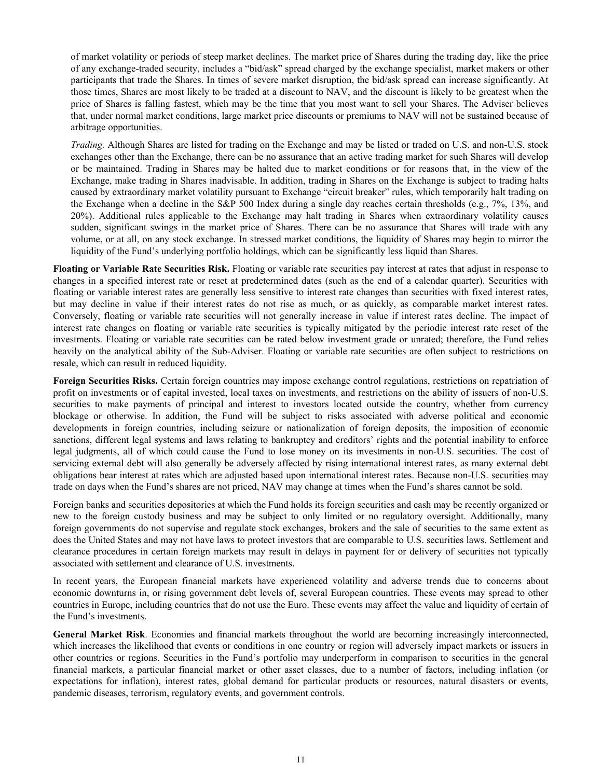of market volatility or periods of steep market declines. The market price of Shares during the trading day, like the price of any exchange-traded security, includes a "bid/ask" spread charged by the exchange specialist, market makers or other participants that trade the Shares. In times of severe market disruption, the bid/ask spread can increase significantly. At those times, Shares are most likely to be traded at a discount to NAV, and the discount is likely to be greatest when the price of Shares is falling fastest, which may be the time that you most want to sell your Shares. The Adviser believes that, under normal market conditions, large market price discounts or premiums to NAV will not be sustained because of arbitrage opportunities.

*Trading.* Although Shares are listed for trading on the Exchange and may be listed or traded on U.S. and non-U.S. stock exchanges other than the Exchange, there can be no assurance that an active trading market for such Shares will develop or be maintained. Trading in Shares may be halted due to market conditions or for reasons that, in the view of the Exchange, make trading in Shares inadvisable. In addition, trading in Shares on the Exchange is subject to trading halts caused by extraordinary market volatility pursuant to Exchange "circuit breaker" rules, which temporarily halt trading on the Exchange when a decline in the S&P 500 Index during a single day reaches certain thresholds (e.g., 7%, 13%, and 20%). Additional rules applicable to the Exchange may halt trading in Shares when extraordinary volatility causes sudden, significant swings in the market price of Shares. There can be no assurance that Shares will trade with any volume, or at all, on any stock exchange. In stressed market conditions, the liquidity of Shares may begin to mirror the liquidity of the Fund's underlying portfolio holdings, which can be significantly less liquid than Shares.

**Floating or Variable Rate Securities Risk.** Floating or variable rate securities pay interest at rates that adjust in response to changes in a specified interest rate or reset at predetermined dates (such as the end of a calendar quarter). Securities with floating or variable interest rates are generally less sensitive to interest rate changes than securities with fixed interest rates, but may decline in value if their interest rates do not rise as much, or as quickly, as comparable market interest rates. Conversely, floating or variable rate securities will not generally increase in value if interest rates decline. The impact of interest rate changes on floating or variable rate securities is typically mitigated by the periodic interest rate reset of the investments. Floating or variable rate securities can be rated below investment grade or unrated; therefore, the Fund relies heavily on the analytical ability of the Sub-Adviser. Floating or variable rate securities are often subject to restrictions on resale, which can result in reduced liquidity.

**Foreign Securities Risks.** Certain foreign countries may impose exchange control regulations, restrictions on repatriation of profit on investments or of capital invested, local taxes on investments, and restrictions on the ability of issuers of non-U.S. securities to make payments of principal and interest to investors located outside the country, whether from currency blockage or otherwise. In addition, the Fund will be subject to risks associated with adverse political and economic developments in foreign countries, including seizure or nationalization of foreign deposits, the imposition of economic sanctions, different legal systems and laws relating to bankruptcy and creditors' rights and the potential inability to enforce legal judgments, all of which could cause the Fund to lose money on its investments in non-U.S. securities. The cost of servicing external debt will also generally be adversely affected by rising international interest rates, as many external debt obligations bear interest at rates which are adjusted based upon international interest rates. Because non-U.S. securities may trade on days when the Fund's shares are not priced, NAV may change at times when the Fund's shares cannot be sold.

Foreign banks and securities depositories at which the Fund holds its foreign securities and cash may be recently organized or new to the foreign custody business and may be subject to only limited or no regulatory oversight. Additionally, many foreign governments do not supervise and regulate stock exchanges, brokers and the sale of securities to the same extent as does the United States and may not have laws to protect investors that are comparable to U.S. securities laws. Settlement and clearance procedures in certain foreign markets may result in delays in payment for or delivery of securities not typically associated with settlement and clearance of U.S. investments.

In recent years, the European financial markets have experienced volatility and adverse trends due to concerns about economic downturns in, or rising government debt levels of, several European countries. These events may spread to other countries in Europe, including countries that do not use the Euro. These events may affect the value and liquidity of certain of the Fund's investments.

**General Market Risk**. Economies and financial markets throughout the world are becoming increasingly interconnected, which increases the likelihood that events or conditions in one country or region will adversely impact markets or issuers in other countries or regions. Securities in the Fund's portfolio may underperform in comparison to securities in the general financial markets, a particular financial market or other asset classes, due to a number of factors, including inflation (or expectations for inflation), interest rates, global demand for particular products or resources, natural disasters or events, pandemic diseases, terrorism, regulatory events, and government controls.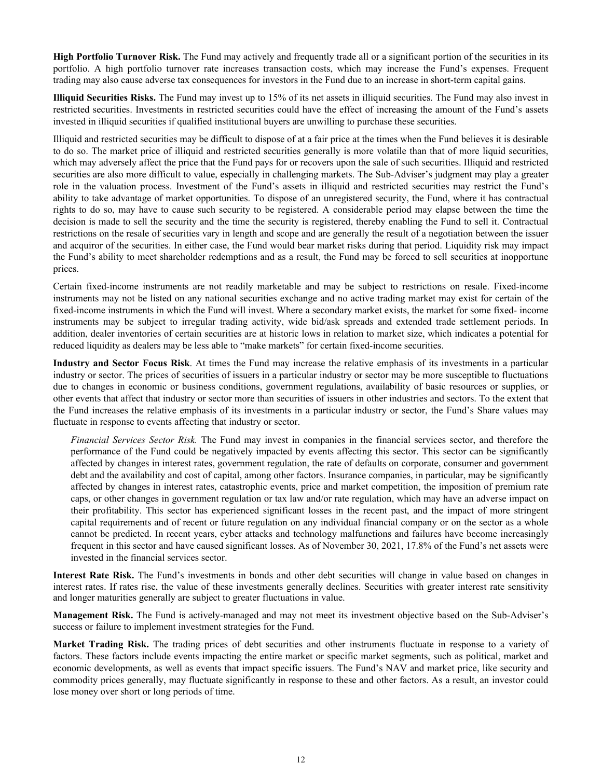**High Portfolio Turnover Risk.** The Fund may actively and frequently trade all or a significant portion of the securities in its portfolio. A high portfolio turnover rate increases transaction costs, which may increase the Fund's expenses. Frequent trading may also cause adverse tax consequences for investors in the Fund due to an increase in short-term capital gains.

**Illiquid Securities Risks.** The Fund may invest up to 15% of its net assets in illiquid securities. The Fund may also invest in restricted securities. Investments in restricted securities could have the effect of increasing the amount of the Fund's assets invested in illiquid securities if qualified institutional buyers are unwilling to purchase these securities.

Illiquid and restricted securities may be difficult to dispose of at a fair price at the times when the Fund believes it is desirable to do so. The market price of illiquid and restricted securities generally is more volatile than that of more liquid securities, which may adversely affect the price that the Fund pays for or recovers upon the sale of such securities. Illiquid and restricted securities are also more difficult to value, especially in challenging markets. The Sub-Adviser's judgment may play a greater role in the valuation process. Investment of the Fund's assets in illiquid and restricted securities may restrict the Fund's ability to take advantage of market opportunities. To dispose of an unregistered security, the Fund, where it has contractual rights to do so, may have to cause such security to be registered. A considerable period may elapse between the time the decision is made to sell the security and the time the security is registered, thereby enabling the Fund to sell it. Contractual restrictions on the resale of securities vary in length and scope and are generally the result of a negotiation between the issuer and acquiror of the securities. In either case, the Fund would bear market risks during that period. Liquidity risk may impact the Fund's ability to meet shareholder redemptions and as a result, the Fund may be forced to sell securities at inopportune prices.

Certain fixed-income instruments are not readily marketable and may be subject to restrictions on resale. Fixed-income instruments may not be listed on any national securities exchange and no active trading market may exist for certain of the fixed-income instruments in which the Fund will invest. Where a secondary market exists, the market for some fixed- income instruments may be subject to irregular trading activity, wide bid/ask spreads and extended trade settlement periods. In addition, dealer inventories of certain securities are at historic lows in relation to market size, which indicates a potential for reduced liquidity as dealers may be less able to "make markets" for certain fixed-income securities.

**Industry and Sector Focus Risk**. At times the Fund may increase the relative emphasis of its investments in a particular industry or sector. The prices of securities of issuers in a particular industry or sector may be more susceptible to fluctuations due to changes in economic or business conditions, government regulations, availability of basic resources or supplies, or other events that affect that industry or sector more than securities of issuers in other industries and sectors. To the extent that the Fund increases the relative emphasis of its investments in a particular industry or sector, the Fund's Share values may fluctuate in response to events affecting that industry or sector.

*Financial Services Sector Risk.* The Fund may invest in companies in the financial services sector, and therefore the performance of the Fund could be negatively impacted by events affecting this sector. This sector can be significantly affected by changes in interest rates, government regulation, the rate of defaults on corporate, consumer and government debt and the availability and cost of capital, among other factors. Insurance companies, in particular, may be significantly affected by changes in interest rates, catastrophic events, price and market competition, the imposition of premium rate caps, or other changes in government regulation or tax law and/or rate regulation, which may have an adverse impact on their profitability. This sector has experienced significant losses in the recent past, and the impact of more stringent capital requirements and of recent or future regulation on any individual financial company or on the sector as a whole cannot be predicted. In recent years, cyber attacks and technology malfunctions and failures have become increasingly frequent in this sector and have caused significant losses. As of November 30, 2021, 17.8% of the Fund's net assets were invested in the financial services sector.

**Interest Rate Risk.** The Fund's investments in bonds and other debt securities will change in value based on changes in interest rates. If rates rise, the value of these investments generally declines. Securities with greater interest rate sensitivity and longer maturities generally are subject to greater fluctuations in value.

**Management Risk.** The Fund is actively-managed and may not meet its investment objective based on the Sub-Adviser's success or failure to implement investment strategies for the Fund.

**Market Trading Risk.** The trading prices of debt securities and other instruments fluctuate in response to a variety of factors. These factors include events impacting the entire market or specific market segments, such as political, market and economic developments, as well as events that impact specific issuers. The Fund's NAV and market price, like security and commodity prices generally, may fluctuate significantly in response to these and other factors. As a result, an investor could lose money over short or long periods of time.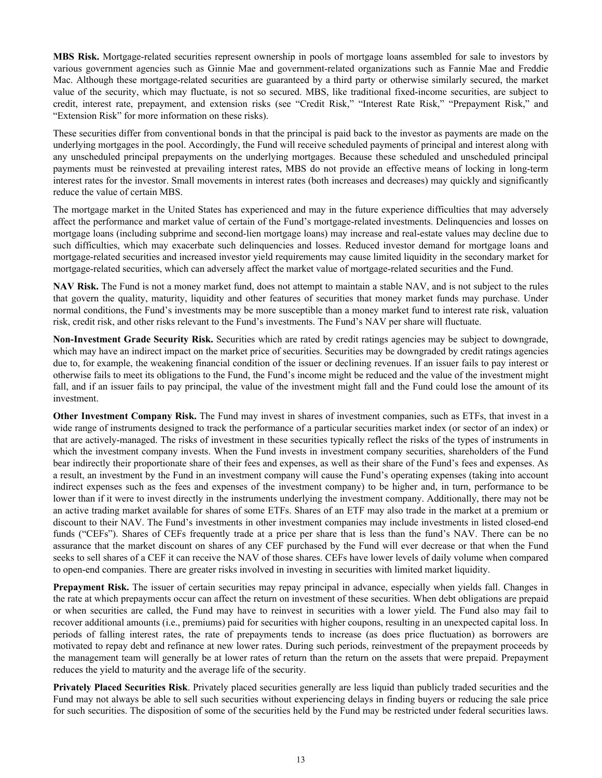**MBS Risk.** Mortgage-related securities represent ownership in pools of mortgage loans assembled for sale to investors by various government agencies such as Ginnie Mae and government-related organizations such as Fannie Mae and Freddie Mac. Although these mortgage-related securities are guaranteed by a third party or otherwise similarly secured, the market value of the security, which may fluctuate, is not so secured. MBS, like traditional fixed-income securities, are subject to credit, interest rate, prepayment, and extension risks (see "Credit Risk," "Interest Rate Risk," "Prepayment Risk," and "Extension Risk" for more information on these risks).

These securities differ from conventional bonds in that the principal is paid back to the investor as payments are made on the underlying mortgages in the pool. Accordingly, the Fund will receive scheduled payments of principal and interest along with any unscheduled principal prepayments on the underlying mortgages. Because these scheduled and unscheduled principal payments must be reinvested at prevailing interest rates, MBS do not provide an effective means of locking in long-term interest rates for the investor. Small movements in interest rates (both increases and decreases) may quickly and significantly reduce the value of certain MBS.

The mortgage market in the United States has experienced and may in the future experience difficulties that may adversely affect the performance and market value of certain of the Fund's mortgage-related investments. Delinquencies and losses on mortgage loans (including subprime and second-lien mortgage loans) may increase and real-estate values may decline due to such difficulties, which may exacerbate such delinquencies and losses. Reduced investor demand for mortgage loans and mortgage-related securities and increased investor yield requirements may cause limited liquidity in the secondary market for mortgage-related securities, which can adversely affect the market value of mortgage-related securities and the Fund.

**NAV Risk.** The Fund is not a money market fund, does not attempt to maintain a stable NAV, and is not subject to the rules that govern the quality, maturity, liquidity and other features of securities that money market funds may purchase. Under normal conditions, the Fund's investments may be more susceptible than a money market fund to interest rate risk, valuation risk, credit risk, and other risks relevant to the Fund's investments. The Fund's NAV per share will fluctuate.

**Non-Investment Grade Security Risk.** Securities which are rated by credit ratings agencies may be subject to downgrade, which may have an indirect impact on the market price of securities. Securities may be downgraded by credit ratings agencies due to, for example, the weakening financial condition of the issuer or declining revenues. If an issuer fails to pay interest or otherwise fails to meet its obligations to the Fund, the Fund's income might be reduced and the value of the investment might fall, and if an issuer fails to pay principal, the value of the investment might fall and the Fund could lose the amount of its investment.

**Other Investment Company Risk.** The Fund may invest in shares of investment companies, such as ETFs, that invest in a wide range of instruments designed to track the performance of a particular securities market index (or sector of an index) or that are actively-managed. The risks of investment in these securities typically reflect the risks of the types of instruments in which the investment company invests. When the Fund invests in investment company securities, shareholders of the Fund bear indirectly their proportionate share of their fees and expenses, as well as their share of the Fund's fees and expenses. As a result, an investment by the Fund in an investment company will cause the Fund's operating expenses (taking into account indirect expenses such as the fees and expenses of the investment company) to be higher and, in turn, performance to be lower than if it were to invest directly in the instruments underlying the investment company. Additionally, there may not be an active trading market available for shares of some ETFs. Shares of an ETF may also trade in the market at a premium or discount to their NAV. The Fund's investments in other investment companies may include investments in listed closed-end funds ("CEFs"). Shares of CEFs frequently trade at a price per share that is less than the fund's NAV. There can be no assurance that the market discount on shares of any CEF purchased by the Fund will ever decrease or that when the Fund seeks to sell shares of a CEF it can receive the NAV of those shares. CEFs have lower levels of daily volume when compared to open-end companies. There are greater risks involved in investing in securities with limited market liquidity.

**Prepayment Risk.** The issuer of certain securities may repay principal in advance, especially when yields fall. Changes in the rate at which prepayments occur can affect the return on investment of these securities. When debt obligations are prepaid or when securities are called, the Fund may have to reinvest in securities with a lower yield. The Fund also may fail to recover additional amounts (i.e., premiums) paid for securities with higher coupons, resulting in an unexpected capital loss. In periods of falling interest rates, the rate of prepayments tends to increase (as does price fluctuation) as borrowers are motivated to repay debt and refinance at new lower rates. During such periods, reinvestment of the prepayment proceeds by the management team will generally be at lower rates of return than the return on the assets that were prepaid. Prepayment reduces the yield to maturity and the average life of the security.

**Privately Placed Securities Risk**. Privately placed securities generally are less liquid than publicly traded securities and the Fund may not always be able to sell such securities without experiencing delays in finding buyers or reducing the sale price for such securities. The disposition of some of the securities held by the Fund may be restricted under federal securities laws.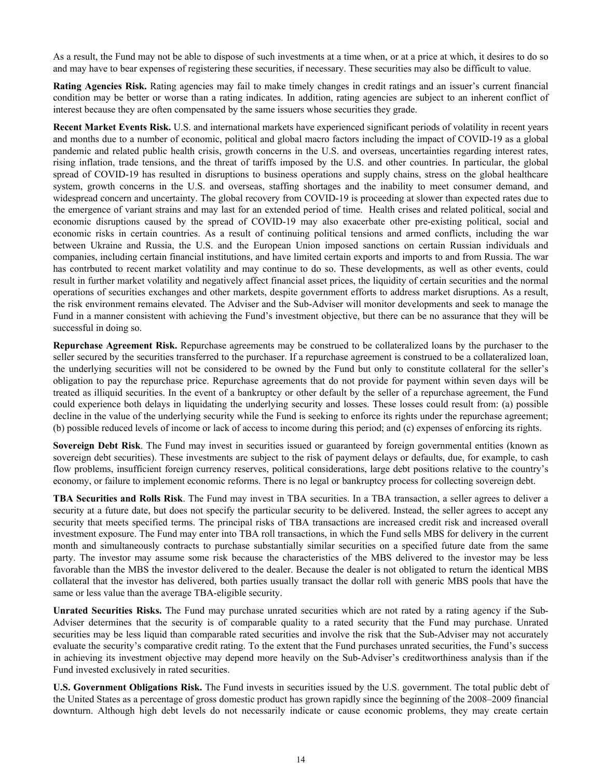As a result, the Fund may not be able to dispose of such investments at a time when, or at a price at which, it desires to do so and may have to bear expenses of registering these securities, if necessary. These securities may also be difficult to value.

**Rating Agencies Risk.** Rating agencies may fail to make timely changes in credit ratings and an issuer's current financial condition may be better or worse than a rating indicates. In addition, rating agencies are subject to an inherent conflict of interest because they are often compensated by the same issuers whose securities they grade.

**Recent Market Events Risk.** U.S. and international markets have experienced significant periods of volatility in recent years and months due to a number of economic, political and global macro factors including the impact of COVID-19 as a global pandemic and related public health crisis, growth concerns in the U.S. and overseas, uncertainties regarding interest rates, rising inflation, trade tensions, and the threat of tariffs imposed by the U.S. and other countries. In particular, the global spread of COVID-19 has resulted in disruptions to business operations and supply chains, stress on the global healthcare system, growth concerns in the U.S. and overseas, staffing shortages and the inability to meet consumer demand, and widespread concern and uncertainty. The global recovery from COVID-19 is proceeding at slower than expected rates due to the emergence of variant strains and may last for an extended period of time. Health crises and related political, social and economic disruptions caused by the spread of COVID-19 may also exacerbate other pre-existing political, social and economic risks in certain countries. As a result of continuing political tensions and armed conflicts, including the war between Ukraine and Russia, the U.S. and the European Union imposed sanctions on certain Russian individuals and companies, including certain financial institutions, and have limited certain exports and imports to and from Russia. The war has contrbuted to recent market volatility and may continue to do so. These developments, as well as other events, could result in further market volatility and negatively affect financial asset prices, the liquidity of certain securities and the normal operations of securities exchanges and other markets, despite government efforts to address market disruptions. As a result, the risk environment remains elevated. The Adviser and the Sub-Adviser will monitor developments and seek to manage the Fund in a manner consistent with achieving the Fund's investment objective, but there can be no assurance that they will be successful in doing so.

**Repurchase Agreement Risk.** Repurchase agreements may be construed to be collateralized loans by the purchaser to the seller secured by the securities transferred to the purchaser. If a repurchase agreement is construed to be a collateralized loan, the underlying securities will not be considered to be owned by the Fund but only to constitute collateral for the seller's obligation to pay the repurchase price. Repurchase agreements that do not provide for payment within seven days will be treated as illiquid securities. In the event of a bankruptcy or other default by the seller of a repurchase agreement, the Fund could experience both delays in liquidating the underlying security and losses. These losses could result from: (a) possible decline in the value of the underlying security while the Fund is seeking to enforce its rights under the repurchase agreement; (b) possible reduced levels of income or lack of access to income during this period; and (c) expenses of enforcing its rights.

**Sovereign Debt Risk**. The Fund may invest in securities issued or guaranteed by foreign governmental entities (known as sovereign debt securities). These investments are subject to the risk of payment delays or defaults, due, for example, to cash flow problems, insufficient foreign currency reserves, political considerations, large debt positions relative to the country's economy, or failure to implement economic reforms. There is no legal or bankruptcy process for collecting sovereign debt.

**TBA Securities and Rolls Risk**. The Fund may invest in TBA securities. In a TBA transaction, a seller agrees to deliver a security at a future date, but does not specify the particular security to be delivered. Instead, the seller agrees to accept any security that meets specified terms. The principal risks of TBA transactions are increased credit risk and increased overall investment exposure. The Fund may enter into TBA roll transactions, in which the Fund sells MBS for delivery in the current month and simultaneously contracts to purchase substantially similar securities on a specified future date from the same party. The investor may assume some risk because the characteristics of the MBS delivered to the investor may be less favorable than the MBS the investor delivered to the dealer. Because the dealer is not obligated to return the identical MBS collateral that the investor has delivered, both parties usually transact the dollar roll with generic MBS pools that have the same or less value than the average TBA-eligible security.

**Unrated Securities Risks.** The Fund may purchase unrated securities which are not rated by a rating agency if the Sub-Adviser determines that the security is of comparable quality to a rated security that the Fund may purchase. Unrated securities may be less liquid than comparable rated securities and involve the risk that the Sub-Adviser may not accurately evaluate the security's comparative credit rating. To the extent that the Fund purchases unrated securities, the Fund's success in achieving its investment objective may depend more heavily on the Sub-Adviser's creditworthiness analysis than if the Fund invested exclusively in rated securities.

**U.S. Government Obligations Risk.** The Fund invests in securities issued by the U.S. government. The total public debt of the United States as a percentage of gross domestic product has grown rapidly since the beginning of the 2008–2009 financial downturn. Although high debt levels do not necessarily indicate or cause economic problems, they may create certain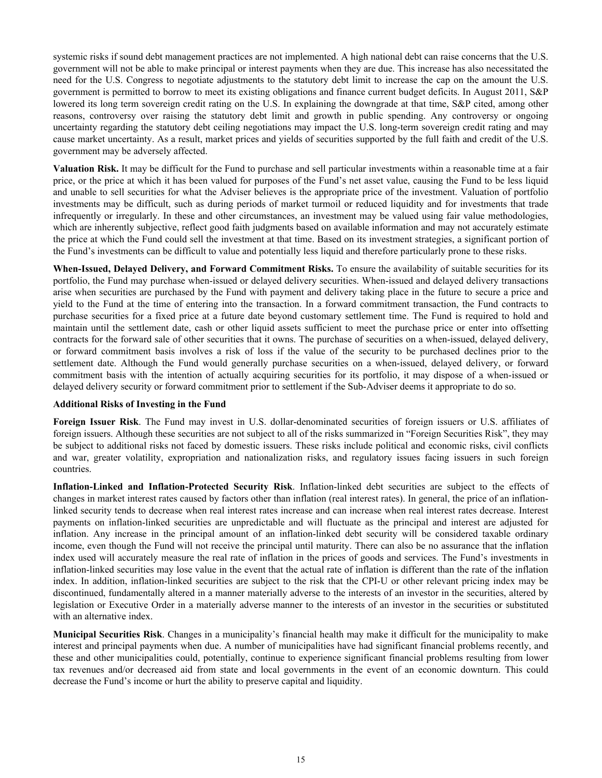systemic risks if sound debt management practices are not implemented. A high national debt can raise concerns that the U.S. government will not be able to make principal or interest payments when they are due. This increase has also necessitated the need for the U.S. Congress to negotiate adjustments to the statutory debt limit to increase the cap on the amount the U.S. government is permitted to borrow to meet its existing obligations and finance current budget deficits. In August 2011, S&P lowered its long term sovereign credit rating on the U.S. In explaining the downgrade at that time, S&P cited, among other reasons, controversy over raising the statutory debt limit and growth in public spending. Any controversy or ongoing uncertainty regarding the statutory debt ceiling negotiations may impact the U.S. long-term sovereign credit rating and may cause market uncertainty. As a result, market prices and yields of securities supported by the full faith and credit of the U.S. government may be adversely affected.

**Valuation Risk.** It may be difficult for the Fund to purchase and sell particular investments within a reasonable time at a fair price, or the price at which it has been valued for purposes of the Fund's net asset value, causing the Fund to be less liquid and unable to sell securities for what the Adviser believes is the appropriate price of the investment. Valuation of portfolio investments may be difficult, such as during periods of market turmoil or reduced liquidity and for investments that trade infrequently or irregularly. In these and other circumstances, an investment may be valued using fair value methodologies, which are inherently subjective, reflect good faith judgments based on available information and may not accurately estimate the price at which the Fund could sell the investment at that time. Based on its investment strategies, a significant portion of the Fund's investments can be difficult to value and potentially less liquid and therefore particularly prone to these risks.

**When-Issued, Delayed Delivery, and Forward Commitment Risks.** To ensure the availability of suitable securities for its portfolio, the Fund may purchase when-issued or delayed delivery securities. When-issued and delayed delivery transactions arise when securities are purchased by the Fund with payment and delivery taking place in the future to secure a price and yield to the Fund at the time of entering into the transaction. In a forward commitment transaction, the Fund contracts to purchase securities for a fixed price at a future date beyond customary settlement time. The Fund is required to hold and maintain until the settlement date, cash or other liquid assets sufficient to meet the purchase price or enter into offsetting contracts for the forward sale of other securities that it owns. The purchase of securities on a when-issued, delayed delivery, or forward commitment basis involves a risk of loss if the value of the security to be purchased declines prior to the settlement date. Although the Fund would generally purchase securities on a when-issued, delayed delivery, or forward commitment basis with the intention of actually acquiring securities for its portfolio, it may dispose of a when-issued or delayed delivery security or forward commitment prior to settlement if the Sub-Adviser deems it appropriate to do so.

#### **Additional Risks of Investing in the Fund**

**Foreign Issuer Risk**. The Fund may invest in U.S. dollar-denominated securities of foreign issuers or U.S. affiliates of foreign issuers. Although these securities are not subject to all of the risks summarized in "Foreign Securities Risk", they may be subject to additional risks not faced by domestic issuers. These risks include political and economic risks, civil conflicts and war, greater volatility, expropriation and nationalization risks, and regulatory issues facing issuers in such foreign countries.

**Inflation-Linked and Inflation-Protected Security Risk**. Inflation-linked debt securities are subject to the effects of changes in market interest rates caused by factors other than inflation (real interest rates). In general, the price of an inflationlinked security tends to decrease when real interest rates increase and can increase when real interest rates decrease. Interest payments on inflation-linked securities are unpredictable and will fluctuate as the principal and interest are adjusted for inflation. Any increase in the principal amount of an inflation-linked debt security will be considered taxable ordinary income, even though the Fund will not receive the principal until maturity. There can also be no assurance that the inflation index used will accurately measure the real rate of inflation in the prices of goods and services. The Fund's investments in inflation-linked securities may lose value in the event that the actual rate of inflation is different than the rate of the inflation index. In addition, inflation-linked securities are subject to the risk that the CPI-U or other relevant pricing index may be discontinued, fundamentally altered in a manner materially adverse to the interests of an investor in the securities, altered by legislation or Executive Order in a materially adverse manner to the interests of an investor in the securities or substituted with an alternative index.

**Municipal Securities Risk**. Changes in a municipality's financial health may make it difficult for the municipality to make interest and principal payments when due. A number of municipalities have had significant financial problems recently, and these and other municipalities could, potentially, continue to experience significant financial problems resulting from lower tax revenues and/or decreased aid from state and local governments in the event of an economic downturn. This could decrease the Fund's income or hurt the ability to preserve capital and liquidity.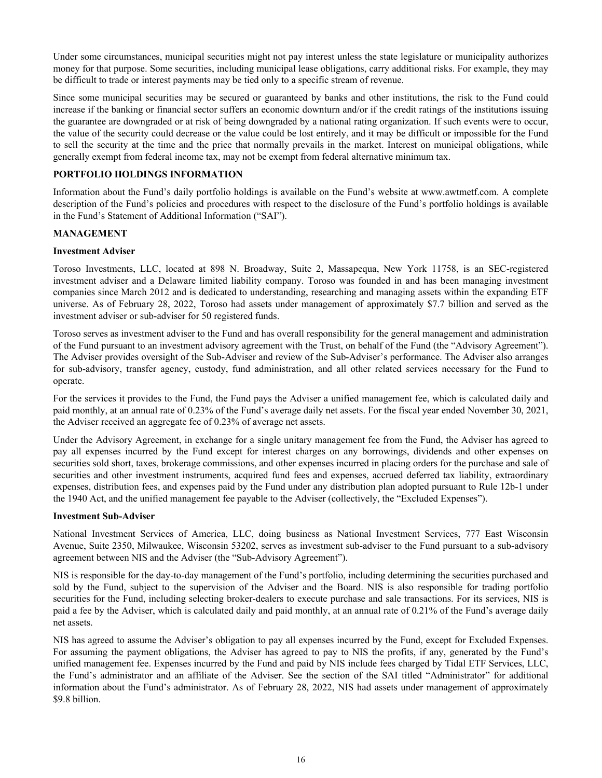<span id="page-20-0"></span>Under some circumstances, municipal securities might not pay interest unless the state legislature or municipality authorizes money for that purpose. Some securities, including municipal lease obligations, carry additional risks. For example, they may be difficult to trade or interest payments may be tied only to a specific stream of revenue.

Since some municipal securities may be secured or guaranteed by banks and other institutions, the risk to the Fund could increase if the banking or financial sector suffers an economic downturn and/or if the credit ratings of the institutions issuing the guarantee are downgraded or at risk of being downgraded by a national rating organization. If such events were to occur, the value of the security could decrease or the value could be lost entirely, and it may be difficult or impossible for the Fund to sell the security at the time and the price that normally prevails in the market. Interest on municipal obligations, while generally exempt from federal income tax, may not be exempt from federal alternative minimum tax.

## **PORTFOLIO HOLDINGS INFORMATION**

Information about the Fund's daily portfolio holdings is available on the Fund's website at www.awtmetf.com. A complete description of the Fund's policies and procedures with respect to the disclosure of the Fund's portfolio holdings is available in the Fund's Statement of Additional Information ("SAI").

#### **MANAGEMENT**

#### **Investment Adviser**

Toroso Investments, LLC, located at 898 N. Broadway, Suite 2, Massapequa, New York 11758, is an SEC-registered investment adviser and a Delaware limited liability company. Toroso was founded in and has been managing investment companies since March 2012 and is dedicated to understanding, researching and managing assets within the expanding ETF universe. As of February 28, 2022, Toroso had assets under management of approximately \$7.7 billion and served as the investment adviser or sub-adviser for 50 registered funds.

Toroso serves as investment adviser to the Fund and has overall responsibility for the general management and administration of the Fund pursuant to an investment advisory agreement with the Trust, on behalf of the Fund (the "Advisory Agreement"). The Adviser provides oversight of the Sub-Adviser and review of the Sub-Adviser's performance. The Adviser also arranges for sub-advisory, transfer agency, custody, fund administration, and all other related services necessary for the Fund to operate.

For the services it provides to the Fund, the Fund pays the Adviser a unified management fee, which is calculated daily and paid monthly, at an annual rate of 0.23% of the Fund's average daily net assets. For the fiscal year ended November 30, 2021, the Adviser received an aggregate fee of 0.23% of average net assets.

Under the Advisory Agreement, in exchange for a single unitary management fee from the Fund, the Adviser has agreed to pay all expenses incurred by the Fund except for interest charges on any borrowings, dividends and other expenses on securities sold short, taxes, brokerage commissions, and other expenses incurred in placing orders for the purchase and sale of securities and other investment instruments, acquired fund fees and expenses, accrued deferred tax liability, extraordinary expenses, distribution fees, and expenses paid by the Fund under any distribution plan adopted pursuant to Rule 12b-1 under the 1940 Act, and the unified management fee payable to the Adviser (collectively, the "Excluded Expenses").

#### **Investment Sub-Adviser**

National Investment Services of America, LLC, doing business as National Investment Services, 777 East Wisconsin Avenue, Suite 2350, Milwaukee, Wisconsin 53202, serves as investment sub-adviser to the Fund pursuant to a sub-advisory agreement between NIS and the Adviser (the "Sub-Advisory Agreement").

NIS is responsible for the day-to-day management of the Fund's portfolio, including determining the securities purchased and sold by the Fund, subject to the supervision of the Adviser and the Board. NIS is also responsible for trading portfolio securities for the Fund, including selecting broker-dealers to execute purchase and sale transactions. For its services, NIS is paid a fee by the Adviser, which is calculated daily and paid monthly, at an annual rate of 0.21% of the Fund's average daily net assets.

NIS has agreed to assume the Adviser's obligation to pay all expenses incurred by the Fund, except for Excluded Expenses. For assuming the payment obligations, the Adviser has agreed to pay to NIS the profits, if any, generated by the Fund's unified management fee. Expenses incurred by the Fund and paid by NIS include fees charged by Tidal ETF Services, LLC, the Fund's administrator and an affiliate of the Adviser. See the section of the SAI titled "Administrator" for additional information about the Fund's administrator. As of February 28, 2022, NIS had assets under management of approximately \$9.8 billion.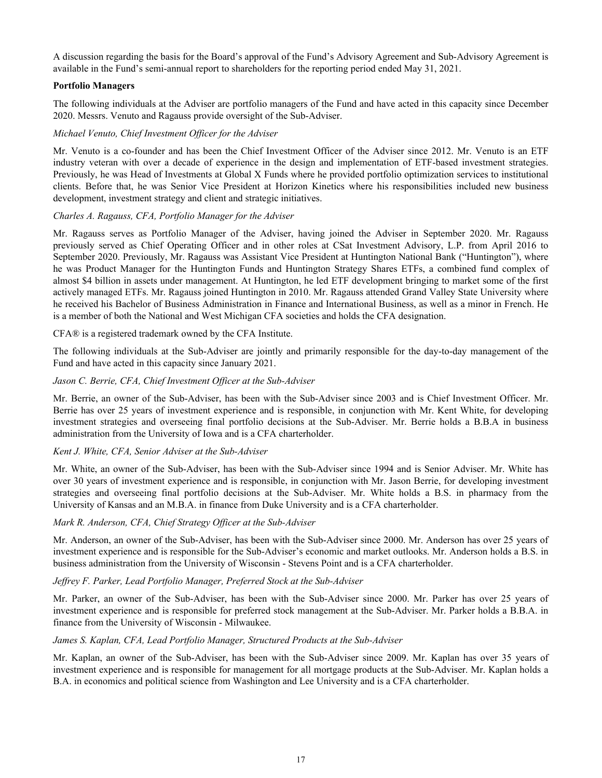A discussion regarding the basis for the Board's approval of the Fund's Advisory Agreement and Sub-Advisory Agreement is available in the Fund's semi-annual report to shareholders for the reporting period ended May 31, 2021.

## **Portfolio Managers**

The following individuals at the Adviser are portfolio managers of the Fund and have acted in this capacity since December 2020. Messrs. Venuto and Ragauss provide oversight of the Sub-Adviser.

## *Michael Venuto, Chief Investment Officer for the Adviser*

Mr. Venuto is a co-founder and has been the Chief Investment Officer of the Adviser since 2012. Mr. Venuto is an ETF industry veteran with over a decade of experience in the design and implementation of ETF-based investment strategies. Previously, he was Head of Investments at Global X Funds where he provided portfolio optimization services to institutional clients. Before that, he was Senior Vice President at Horizon Kinetics where his responsibilities included new business development, investment strategy and client and strategic initiatives.

## *Charles A. Ragauss, CFA, Portfolio Manager for the Adviser*

Mr. Ragauss serves as Portfolio Manager of the Adviser, having joined the Adviser in September 2020. Mr. Ragauss previously served as Chief Operating Officer and in other roles at CSat Investment Advisory, L.P. from April 2016 to September 2020. Previously, Mr. Ragauss was Assistant Vice President at Huntington National Bank ("Huntington"), where he was Product Manager for the Huntington Funds and Huntington Strategy Shares ETFs, a combined fund complex of almost \$4 billion in assets under management. At Huntington, he led ETF development bringing to market some of the first actively managed ETFs. Mr. Ragauss joined Huntington in 2010. Mr. Ragauss attended Grand Valley State University where he received his Bachelor of Business Administration in Finance and International Business, as well as a minor in French. He is a member of both the National and West Michigan CFA societies and holds the CFA designation.

## CFA® is a registered trademark owned by the CFA Institute.

The following individuals at the Sub-Adviser are jointly and primarily responsible for the day-to-day management of the Fund and have acted in this capacity since January 2021.

## *Jason C. Berrie, CFA, Chief Investment Officer at the Sub-Adviser*

Mr. Berrie, an owner of the Sub-Adviser, has been with the Sub-Adviser since 2003 and is Chief Investment Officer. Mr. Berrie has over 25 years of investment experience and is responsible, in conjunction with Mr. Kent White, for developing investment strategies and overseeing final portfolio decisions at the Sub-Adviser. Mr. Berrie holds a B.B.A in business administration from the University of Iowa and is a CFA charterholder.

## *Kent J. White, CFA, Senior Adviser at the Sub-Adviser*

Mr. White, an owner of the Sub-Adviser, has been with the Sub-Adviser since 1994 and is Senior Adviser. Mr. White has over 30 years of investment experience and is responsible, in conjunction with Mr. Jason Berrie, for developing investment strategies and overseeing final portfolio decisions at the Sub-Adviser. Mr. White holds a B.S. in pharmacy from the University of Kansas and an M.B.A. in finance from Duke University and is a CFA charterholder.

## *Mark R. Anderson, CFA, Chief Strategy Officer at the Sub-Adviser*

Mr. Anderson, an owner of the Sub-Adviser, has been with the Sub-Adviser since 2000. Mr. Anderson has over 25 years of investment experience and is responsible for the Sub-Adviser's economic and market outlooks. Mr. Anderson holds a B.S. in business administration from the University of Wisconsin - Stevens Point and is a CFA charterholder.

## *Jeffrey F. Parker, Lead Portfolio Manager, Preferred Stock at the Sub-Adviser*

Mr. Parker, an owner of the Sub-Adviser, has been with the Sub-Adviser since 2000. Mr. Parker has over 25 years of investment experience and is responsible for preferred stock management at the Sub-Adviser. Mr. Parker holds a B.B.A. in finance from the University of Wisconsin - Milwaukee.

## *James S. Kaplan, CFA, Lead Portfolio Manager, Structured Products at the Sub-Adviser*

Mr. Kaplan, an owner of the Sub-Adviser, has been with the Sub-Adviser since 2009. Mr. Kaplan has over 35 years of investment experience and is responsible for management for all mortgage products at the Sub-Adviser. Mr. Kaplan holds a B.A. in economics and political science from Washington and Lee University and is a CFA charterholder.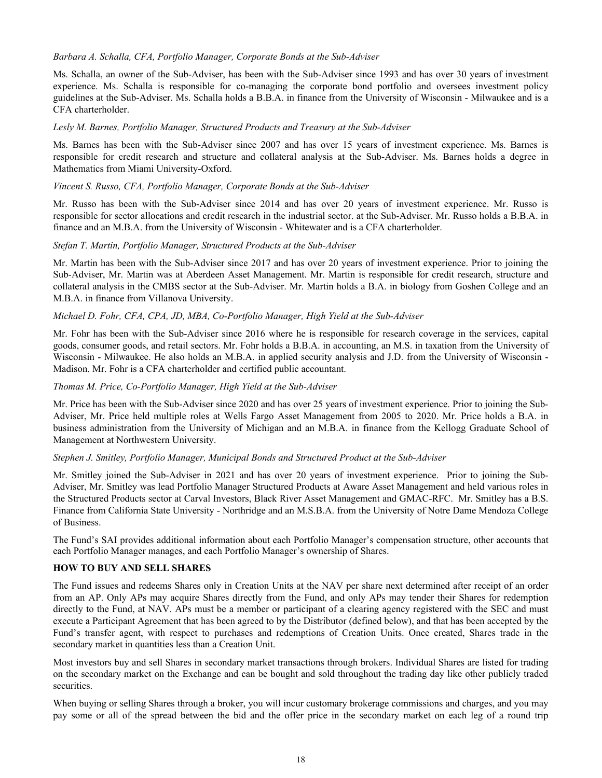## <span id="page-22-0"></span>*Barbara A. Schalla, CFA, Portfolio Manager, Corporate Bonds at the Sub-Adviser*

Ms. Schalla, an owner of the Sub-Adviser, has been with the Sub-Adviser since 1993 and has over 30 years of investment experience. Ms. Schalla is responsible for co-managing the corporate bond portfolio and oversees investment policy guidelines at the Sub-Adviser. Ms. Schalla holds a B.B.A. in finance from the University of Wisconsin - Milwaukee and is a CFA charterholder.

#### *Lesly M. Barnes, Portfolio Manager, Structured Products and Treasury at the Sub-Adviser*

Ms. Barnes has been with the Sub-Adviser since 2007 and has over 15 years of investment experience. Ms. Barnes is responsible for credit research and structure and collateral analysis at the Sub-Adviser. Ms. Barnes holds a degree in Mathematics from Miami University-Oxford.

#### *Vincent S. Russo, CFA, Portfolio Manager, Corporate Bonds at the Sub-Adviser*

Mr. Russo has been with the Sub-Adviser since 2014 and has over 20 years of investment experience. Mr. Russo is responsible for sector allocations and credit research in the industrial sector. at the Sub-Adviser. Mr. Russo holds a B.B.A. in finance and an M.B.A. from the University of Wisconsin - Whitewater and is a CFA charterholder.

#### *Stefan T. Martin, Portfolio Manager, Structured Products at the Sub-Adviser*

Mr. Martin has been with the Sub-Adviser since 2017 and has over 20 years of investment experience. Prior to joining the Sub-Adviser, Mr. Martin was at Aberdeen Asset Management. Mr. Martin is responsible for credit research, structure and collateral analysis in the CMBS sector at the Sub-Adviser. Mr. Martin holds a B.A. in biology from Goshen College and an M.B.A. in finance from Villanova University.

#### *Michael D. Fohr, CFA, CPA, JD, MBA, Co-Portfolio Manager, High Yield at the Sub-Adviser*

Mr. Fohr has been with the Sub-Adviser since 2016 where he is responsible for research coverage in the services, capital goods, consumer goods, and retail sectors. Mr. Fohr holds a B.B.A. in accounting, an M.S. in taxation from the University of Wisconsin - Milwaukee. He also holds an M.B.A. in applied security analysis and J.D. from the University of Wisconsin - Madison. Mr. Fohr is a CFA charterholder and certified public accountant.

#### *Thomas M. Price, Co-Portfolio Manager, High Yield at the Sub-Adviser*

Mr. Price has been with the Sub-Adviser since 2020 and has over 25 years of investment experience. Prior to joining the Sub-Adviser, Mr. Price held multiple roles at Wells Fargo Asset Management from 2005 to 2020. Mr. Price holds a B.A. in business administration from the University of Michigan and an M.B.A. in finance from the Kellogg Graduate School of Management at Northwestern University.

#### *Stephen J. Smitley, Portfolio Manager, Municipal Bonds and Structured Product at the Sub-Adviser*

Mr. Smitley joined the Sub-Adviser in 2021 and has over 20 years of investment experience. Prior to joining the Sub-Adviser, Mr. Smitley was lead Portfolio Manager Structured Products at Aware Asset Management and held various roles in the Structured Products sector at Carval Investors, Black River Asset Management and GMAC-RFC. Mr. Smitley has a B.S. Finance from California State University - Northridge and an M.S.B.A. from the University of Notre Dame Mendoza College of Business.

The Fund's SAI provides additional information about each Portfolio Manager's compensation structure, other accounts that each Portfolio Manager manages, and each Portfolio Manager's ownership of Shares.

## **HOW TO BUY AND SELL SHARES**

The Fund issues and redeems Shares only in Creation Units at the NAV per share next determined after receipt of an order from an AP. Only APs may acquire Shares directly from the Fund, and only APs may tender their Shares for redemption directly to the Fund, at NAV. APs must be a member or participant of a clearing agency registered with the SEC and must execute a Participant Agreement that has been agreed to by the Distributor (defined below), and that has been accepted by the Fund's transfer agent, with respect to purchases and redemptions of Creation Units. Once created, Shares trade in the secondary market in quantities less than a Creation Unit.

Most investors buy and sell Shares in secondary market transactions through brokers. Individual Shares are listed for trading on the secondary market on the Exchange and can be bought and sold throughout the trading day like other publicly traded securities.

When buying or selling Shares through a broker, you will incur customary brokerage commissions and charges, and you may pay some or all of the spread between the bid and the offer price in the secondary market on each leg of a round trip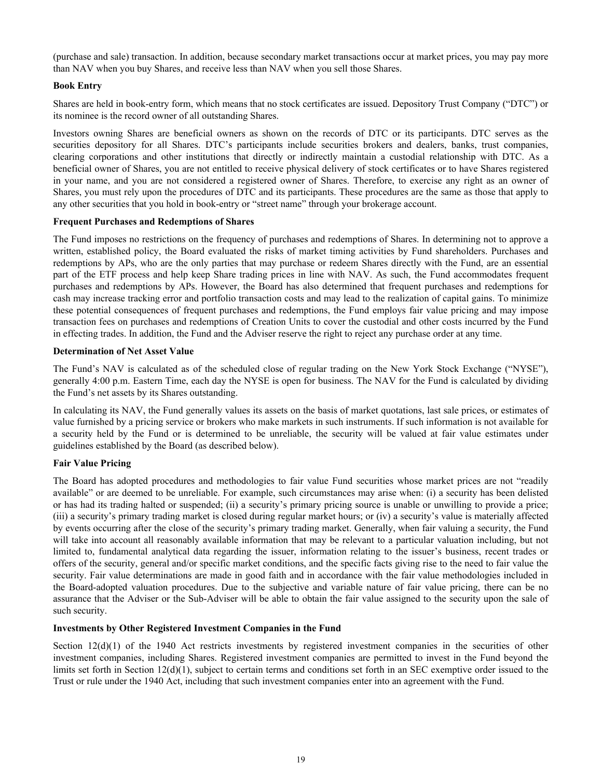(purchase and sale) transaction. In addition, because secondary market transactions occur at market prices, you may pay more than NAV when you buy Shares, and receive less than NAV when you sell those Shares.

## **Book Entry**

Shares are held in book-entry form, which means that no stock certificates are issued. Depository Trust Company ("DTC") or its nominee is the record owner of all outstanding Shares.

Investors owning Shares are beneficial owners as shown on the records of DTC or its participants. DTC serves as the securities depository for all Shares. DTC's participants include securities brokers and dealers, banks, trust companies, clearing corporations and other institutions that directly or indirectly maintain a custodial relationship with DTC. As a beneficial owner of Shares, you are not entitled to receive physical delivery of stock certificates or to have Shares registered in your name, and you are not considered a registered owner of Shares. Therefore, to exercise any right as an owner of Shares, you must rely upon the procedures of DTC and its participants. These procedures are the same as those that apply to any other securities that you hold in book-entry or "street name" through your brokerage account.

#### **Frequent Purchases and Redemptions of Shares**

The Fund imposes no restrictions on the frequency of purchases and redemptions of Shares. In determining not to approve a written, established policy, the Board evaluated the risks of market timing activities by Fund shareholders. Purchases and redemptions by APs, who are the only parties that may purchase or redeem Shares directly with the Fund, are an essential part of the ETF process and help keep Share trading prices in line with NAV. As such, the Fund accommodates frequent purchases and redemptions by APs. However, the Board has also determined that frequent purchases and redemptions for cash may increase tracking error and portfolio transaction costs and may lead to the realization of capital gains. To minimize these potential consequences of frequent purchases and redemptions, the Fund employs fair value pricing and may impose transaction fees on purchases and redemptions of Creation Units to cover the custodial and other costs incurred by the Fund in effecting trades. In addition, the Fund and the Adviser reserve the right to reject any purchase order at any time.

#### **Determination of Net Asset Value**

The Fund's NAV is calculated as of the scheduled close of regular trading on the New York Stock Exchange ("NYSE"), generally 4:00 p.m. Eastern Time, each day the NYSE is open for business. The NAV for the Fund is calculated by dividing the Fund's net assets by its Shares outstanding.

In calculating its NAV, the Fund generally values its assets on the basis of market quotations, last sale prices, or estimates of value furnished by a pricing service or brokers who make markets in such instruments. If such information is not available for a security held by the Fund or is determined to be unreliable, the security will be valued at fair value estimates under guidelines established by the Board (as described below).

## **Fair Value Pricing**

The Board has adopted procedures and methodologies to fair value Fund securities whose market prices are not "readily available" or are deemed to be unreliable. For example, such circumstances may arise when: (i) a security has been delisted or has had its trading halted or suspended; (ii) a security's primary pricing source is unable or unwilling to provide a price; (iii) a security's primary trading market is closed during regular market hours; or (iv) a security's value is materially affected by events occurring after the close of the security's primary trading market. Generally, when fair valuing a security, the Fund will take into account all reasonably available information that may be relevant to a particular valuation including, but not limited to, fundamental analytical data regarding the issuer, information relating to the issuer's business, recent trades or offers of the security, general and/or specific market conditions, and the specific facts giving rise to the need to fair value the security. Fair value determinations are made in good faith and in accordance with the fair value methodologies included in the Board-adopted valuation procedures. Due to the subjective and variable nature of fair value pricing, there can be no assurance that the Adviser or the Sub-Adviser will be able to obtain the fair value assigned to the security upon the sale of such security.

#### **Investments by Other Registered Investment Companies in the Fund**

Section 12(d)(1) of the 1940 Act restricts investments by registered investment companies in the securities of other investment companies, including Shares. Registered investment companies are permitted to invest in the Fund beyond the limits set forth in Section  $12(d)(1)$ , subject to certain terms and conditions set forth in an SEC exemptive order issued to the Trust or rule under the 1940 Act, including that such investment companies enter into an agreement with the Fund.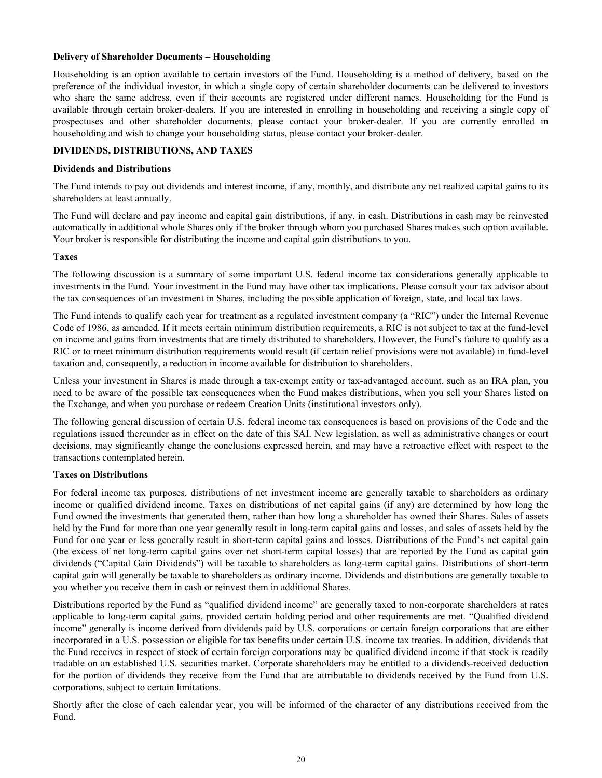#### <span id="page-24-0"></span>**Delivery of Shareholder Documents – Householding**

Householding is an option available to certain investors of the Fund. Householding is a method of delivery, based on the preference of the individual investor, in which a single copy of certain shareholder documents can be delivered to investors who share the same address, even if their accounts are registered under different names. Householding for the Fund is available through certain broker-dealers. If you are interested in enrolling in householding and receiving a single copy of prospectuses and other shareholder documents, please contact your broker-dealer. If you are currently enrolled in householding and wish to change your householding status, please contact your broker-dealer.

#### **DIVIDENDS, DISTRIBUTIONS, AND TAXES**

#### **Dividends and Distributions**

The Fund intends to pay out dividends and interest income, if any, monthly, and distribute any net realized capital gains to its shareholders at least annually.

The Fund will declare and pay income and capital gain distributions, if any, in cash. Distributions in cash may be reinvested automatically in additional whole Shares only if the broker through whom you purchased Shares makes such option available. Your broker is responsible for distributing the income and capital gain distributions to you.

#### **Taxes**

The following discussion is a summary of some important U.S. federal income tax considerations generally applicable to investments in the Fund. Your investment in the Fund may have other tax implications. Please consult your tax advisor about the tax consequences of an investment in Shares, including the possible application of foreign, state, and local tax laws.

The Fund intends to qualify each year for treatment as a regulated investment company (a "RIC") under the Internal Revenue Code of 1986, as amended. If it meets certain minimum distribution requirements, a RIC is not subject to tax at the fund-level on income and gains from investments that are timely distributed to shareholders. However, the Fund's failure to qualify as a RIC or to meet minimum distribution requirements would result (if certain relief provisions were not available) in fund-level taxation and, consequently, a reduction in income available for distribution to shareholders.

Unless your investment in Shares is made through a tax-exempt entity or tax-advantaged account, such as an IRA plan, you need to be aware of the possible tax consequences when the Fund makes distributions, when you sell your Shares listed on the Exchange, and when you purchase or redeem Creation Units (institutional investors only).

The following general discussion of certain U.S. federal income tax consequences is based on provisions of the Code and the regulations issued thereunder as in effect on the date of this SAI. New legislation, as well as administrative changes or court decisions, may significantly change the conclusions expressed herein, and may have a retroactive effect with respect to the transactions contemplated herein.

## **Taxes on Distributions**

For federal income tax purposes, distributions of net investment income are generally taxable to shareholders as ordinary income or qualified dividend income. Taxes on distributions of net capital gains (if any) are determined by how long the Fund owned the investments that generated them, rather than how long a shareholder has owned their Shares. Sales of assets held by the Fund for more than one year generally result in long-term capital gains and losses, and sales of assets held by the Fund for one year or less generally result in short-term capital gains and losses. Distributions of the Fund's net capital gain (the excess of net long-term capital gains over net short-term capital losses) that are reported by the Fund as capital gain dividends ("Capital Gain Dividends") will be taxable to shareholders as long-term capital gains. Distributions of short-term capital gain will generally be taxable to shareholders as ordinary income. Dividends and distributions are generally taxable to you whether you receive them in cash or reinvest them in additional Shares.

Distributions reported by the Fund as "qualified dividend income" are generally taxed to non-corporate shareholders at rates applicable to long-term capital gains, provided certain holding period and other requirements are met. "Qualified dividend income" generally is income derived from dividends paid by U.S. corporations or certain foreign corporations that are either incorporated in a U.S. possession or eligible for tax benefits under certain U.S. income tax treaties. In addition, dividends that the Fund receives in respect of stock of certain foreign corporations may be qualified dividend income if that stock is readily tradable on an established U.S. securities market. Corporate shareholders may be entitled to a dividends-received deduction for the portion of dividends they receive from the Fund that are attributable to dividends received by the Fund from U.S. corporations, subject to certain limitations.

Shortly after the close of each calendar year, you will be informed of the character of any distributions received from the Fund.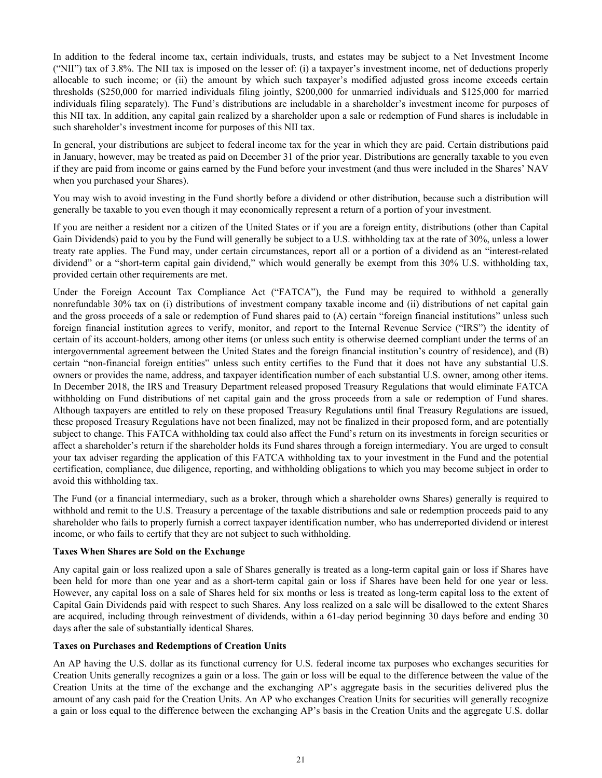In addition to the federal income tax, certain individuals, trusts, and estates may be subject to a Net Investment Income ("NII") tax of 3.8%. The NII tax is imposed on the lesser of: (i) a taxpayer's investment income, net of deductions properly allocable to such income; or (ii) the amount by which such taxpayer's modified adjusted gross income exceeds certain thresholds (\$250,000 for married individuals filing jointly, \$200,000 for unmarried individuals and \$125,000 for married individuals filing separately). The Fund's distributions are includable in a shareholder's investment income for purposes of this NII tax. In addition, any capital gain realized by a shareholder upon a sale or redemption of Fund shares is includable in such shareholder's investment income for purposes of this NII tax.

In general, your distributions are subject to federal income tax for the year in which they are paid. Certain distributions paid in January, however, may be treated as paid on December 31 of the prior year. Distributions are generally taxable to you even if they are paid from income or gains earned by the Fund before your investment (and thus were included in the Shares' NAV when you purchased your Shares).

You may wish to avoid investing in the Fund shortly before a dividend or other distribution, because such a distribution will generally be taxable to you even though it may economically represent a return of a portion of your investment.

If you are neither a resident nor a citizen of the United States or if you are a foreign entity, distributions (other than Capital Gain Dividends) paid to you by the Fund will generally be subject to a U.S. withholding tax at the rate of 30%, unless a lower treaty rate applies. The Fund may, under certain circumstances, report all or a portion of a dividend as an "interest-related dividend" or a "short-term capital gain dividend," which would generally be exempt from this 30% U.S. withholding tax, provided certain other requirements are met.

Under the Foreign Account Tax Compliance Act ("FATCA"), the Fund may be required to withhold a generally nonrefundable 30% tax on (i) distributions of investment company taxable income and (ii) distributions of net capital gain and the gross proceeds of a sale or redemption of Fund shares paid to (A) certain "foreign financial institutions" unless such foreign financial institution agrees to verify, monitor, and report to the Internal Revenue Service ("IRS") the identity of certain of its account-holders, among other items (or unless such entity is otherwise deemed compliant under the terms of an intergovernmental agreement between the United States and the foreign financial institution's country of residence), and (B) certain "non-financial foreign entities" unless such entity certifies to the Fund that it does not have any substantial U.S. owners or provides the name, address, and taxpayer identification number of each substantial U.S. owner, among other items. In December 2018, the IRS and Treasury Department released proposed Treasury Regulations that would eliminate FATCA withholding on Fund distributions of net capital gain and the gross proceeds from a sale or redemption of Fund shares. Although taxpayers are entitled to rely on these proposed Treasury Regulations until final Treasury Regulations are issued, these proposed Treasury Regulations have not been finalized, may not be finalized in their proposed form, and are potentially subject to change. This FATCA withholding tax could also affect the Fund's return on its investments in foreign securities or affect a shareholder's return if the shareholder holds its Fund shares through a foreign intermediary. You are urged to consult your tax adviser regarding the application of this FATCA withholding tax to your investment in the Fund and the potential certification, compliance, due diligence, reporting, and withholding obligations to which you may become subject in order to avoid this withholding tax.

The Fund (or a financial intermediary, such as a broker, through which a shareholder owns Shares) generally is required to withhold and remit to the U.S. Treasury a percentage of the taxable distributions and sale or redemption proceeds paid to any shareholder who fails to properly furnish a correct taxpayer identification number, who has underreported dividend or interest income, or who fails to certify that they are not subject to such withholding.

## **Taxes When Shares are Sold on the Exchange**

Any capital gain or loss realized upon a sale of Shares generally is treated as a long-term capital gain or loss if Shares have been held for more than one year and as a short-term capital gain or loss if Shares have been held for one year or less. However, any capital loss on a sale of Shares held for six months or less is treated as long-term capital loss to the extent of Capital Gain Dividends paid with respect to such Shares. Any loss realized on a sale will be disallowed to the extent Shares are acquired, including through reinvestment of dividends, within a 61-day period beginning 30 days before and ending 30 days after the sale of substantially identical Shares.

## **Taxes on Purchases and Redemptions of Creation Units**

An AP having the U.S. dollar as its functional currency for U.S. federal income tax purposes who exchanges securities for Creation Units generally recognizes a gain or a loss. The gain or loss will be equal to the difference between the value of the Creation Units at the time of the exchange and the exchanging AP's aggregate basis in the securities delivered plus the amount of any cash paid for the Creation Units. An AP who exchanges Creation Units for securities will generally recognize a gain or loss equal to the difference between the exchanging AP's basis in the Creation Units and the aggregate U.S. dollar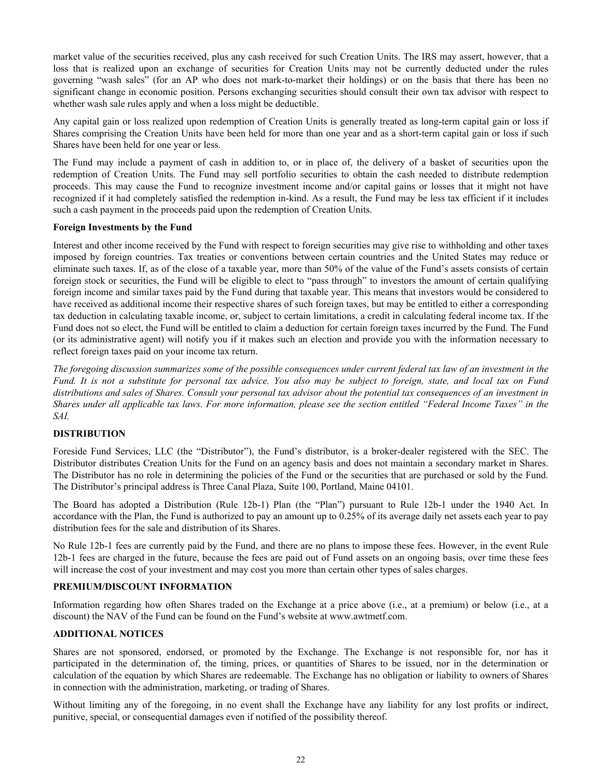<span id="page-26-0"></span>market value of the securities received, plus any cash received for such Creation Units. The IRS may assert, however, that a loss that is realized upon an exchange of securities for Creation Units may not be currently deducted under the rules governing "wash sales" (for an AP who does not mark-to-market their holdings) or on the basis that there has been no significant change in economic position. Persons exchanging securities should consult their own tax advisor with respect to whether wash sale rules apply and when a loss might be deductible.

Any capital gain or loss realized upon redemption of Creation Units is generally treated as long-term capital gain or loss if Shares comprising the Creation Units have been held for more than one year and as a short-term capital gain or loss if such Shares have been held for one year or less.

The Fund may include a payment of cash in addition to, or in place of, the delivery of a basket of securities upon the redemption of Creation Units. The Fund may sell portfolio securities to obtain the cash needed to distribute redemption proceeds. This may cause the Fund to recognize investment income and/or capital gains or losses that it might not have recognized if it had completely satisfied the redemption in-kind. As a result, the Fund may be less tax efficient if it includes such a cash payment in the proceeds paid upon the redemption of Creation Units.

## **Foreign Investments by the Fund**

Interest and other income received by the Fund with respect to foreign securities may give rise to withholding and other taxes imposed by foreign countries. Tax treaties or conventions between certain countries and the United States may reduce or eliminate such taxes. If, as of the close of a taxable year, more than 50% of the value of the Fund's assets consists of certain foreign stock or securities, the Fund will be eligible to elect to "pass through" to investors the amount of certain qualifying foreign income and similar taxes paid by the Fund during that taxable year. This means that investors would be considered to have received as additional income their respective shares of such foreign taxes, but may be entitled to either a corresponding tax deduction in calculating taxable income, or, subject to certain limitations, a credit in calculating federal income tax. If the Fund does not so elect, the Fund will be entitled to claim a deduction for certain foreign taxes incurred by the Fund. The Fund (or its administrative agent) will notify you if it makes such an election and provide you with the information necessary to reflect foreign taxes paid on your income tax return.

*The foregoing discussion summarizes some of the possible consequences under current federal tax law of an investment in the Fund. It is not a substitute for personal tax advice. You also may be subject to foreign, state, and local tax on Fund distributions and sales of Shares. Consult your personal tax advisor about the potential tax consequences of an investment in Shares under all applicable tax laws. For more information, please see the section entitled "Federal Income Taxes" in the SAI.*

#### **DISTRIBUTION**

Foreside Fund Services, LLC (the "Distributor"), the Fund's distributor, is a broker-dealer registered with the SEC. The Distributor distributes Creation Units for the Fund on an agency basis and does not maintain a secondary market in Shares. The Distributor has no role in determining the policies of the Fund or the securities that are purchased or sold by the Fund. The Distributor's principal address is Three Canal Plaza, Suite 100, Portland, Maine 04101.

The Board has adopted a Distribution (Rule 12b-1) Plan (the "Plan") pursuant to Rule 12b-1 under the 1940 Act. In accordance with the Plan, the Fund is authorized to pay an amount up to 0.25% of its average daily net assets each year to pay distribution fees for the sale and distribution of its Shares.

No Rule 12b-1 fees are currently paid by the Fund, and there are no plans to impose these fees. However, in the event Rule 12b-1 fees are charged in the future, because the fees are paid out of Fund assets on an ongoing basis, over time these fees will increase the cost of your investment and may cost you more than certain other types of sales charges.

## **PREMIUM/DISCOUNT INFORMATION**

Information regarding how often Shares traded on the Exchange at a price above (i.e., at a premium) or below (i.e., at a discount) the NAV of the Fund can be found on the Fund's website at www.awtmetf.com.

#### **ADDITIONAL NOTICES**

Shares are not sponsored, endorsed, or promoted by the Exchange. The Exchange is not responsible for, nor has it participated in the determination of, the timing, prices, or quantities of Shares to be issued, nor in the determination or calculation of the equation by which Shares are redeemable. The Exchange has no obligation or liability to owners of Shares in connection with the administration, marketing, or trading of Shares.

Without limiting any of the foregoing, in no event shall the Exchange have any liability for any lost profits or indirect, punitive, special, or consequential damages even if notified of the possibility thereof.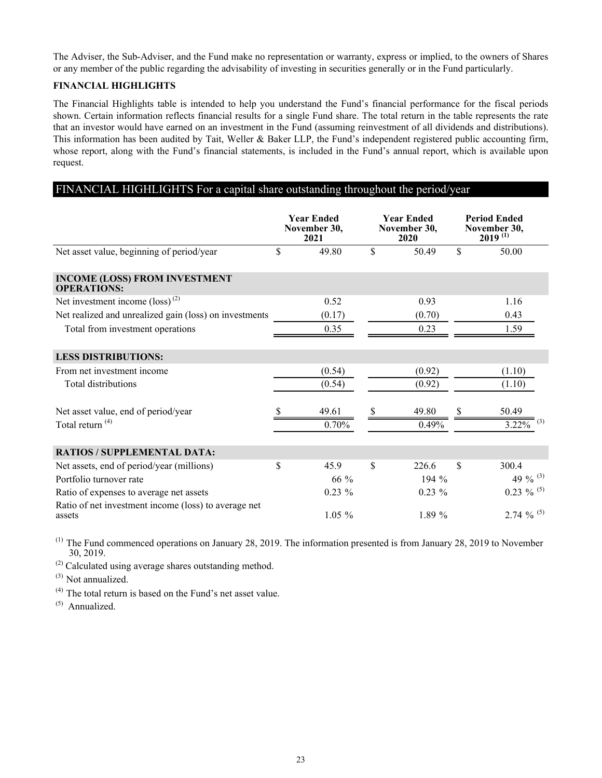<span id="page-27-0"></span>The Adviser, the Sub-Adviser, and the Fund make no representation or warranty, express or implied, to the owners of Shares or any member of the public regarding the advisability of investing in securities generally or in the Fund particularly.

## **FINANCIAL HIGHLIGHTS**

The Financial Highlights table is intended to help you understand the Fund's financial performance for the fiscal periods shown. Certain information reflects financial results for a single Fund share. The total return in the table represents the rate that an investor would have earned on an investment in the Fund (assuming reinvestment of all dividends and distributions). This information has been audited by Tait, Weller & Baker LLP, the Fund's independent registered public accounting firm, whose report, along with the Fund's financial statements, is included in the Fund's annual report, which is available upon request.

# FINANCIAL HIGHLIGHTS For a capital share outstanding throughout the period/year

|                                                                | <b>Year Ended</b><br>November 30,<br>2021 |    | <b>Year Ended</b><br>November 30,<br>2020 | <b>Period Ended</b><br>November 30,<br>$2019^{(1)}$ |
|----------------------------------------------------------------|-------------------------------------------|----|-------------------------------------------|-----------------------------------------------------|
| Net asset value, beginning of period/year                      | \$<br>49.80                               | \$ | 50.49                                     | \$<br>50.00                                         |
| <b>INCOME (LOSS) FROM INVESTMENT</b><br><b>OPERATIONS:</b>     |                                           |    |                                           |                                                     |
| Net investment income $(\text{loss})^{(2)}$                    | 0.52                                      |    | 0.93                                      | 1.16                                                |
| Net realized and unrealized gain (loss) on investments         | (0.17)                                    |    | (0.70)                                    | 0.43                                                |
| Total from investment operations                               | 0.35                                      |    | 0.23                                      | 1.59                                                |
| <b>LESS DISTRIBUTIONS:</b>                                     |                                           |    |                                           |                                                     |
| From net investment income                                     | (0.54)                                    |    | (0.92)                                    | (1.10)                                              |
| <b>Total distributions</b>                                     | (0.54)                                    |    | (0.92)                                    | (1.10)                                              |
| Net asset value, end of period/year                            | 49.61                                     | S  | 49.80                                     | 50.49                                               |
| Total return <sup>(4)</sup>                                    | 0.70%                                     |    | 0.49%                                     | (3)<br>3.22%                                        |
| <b>RATIOS / SUPPLEMENTAL DATA:</b>                             |                                           |    |                                           |                                                     |
| Net assets, end of period/year (millions)                      | \$<br>45.9                                | \$ | 226.6                                     | \$<br>300.4                                         |
| Portfolio turnover rate                                        | 66 %                                      |    | $194\%$                                   | 49 % $^{(3)}$                                       |
| Ratio of expenses to average net assets                        | $0.23\%$                                  |    | $0.23 \%$                                 | $0.23 \%$ (5)                                       |
| Ratio of net investment income (loss) to average net<br>assets | $1.05\%$                                  |    | $1.89\%$                                  | 2.74 $\%$ <sup>(5)</sup>                            |

 $(1)$  The Fund commenced operations on January 28, 2019. The information presented is from January 28, 2019 to November 30, 2019.

(2) Calculated using average shares outstanding method.

(3) Not annualized.

(4) The total return is based on the Fund's net asset value.

 $(5)$  Annualized.